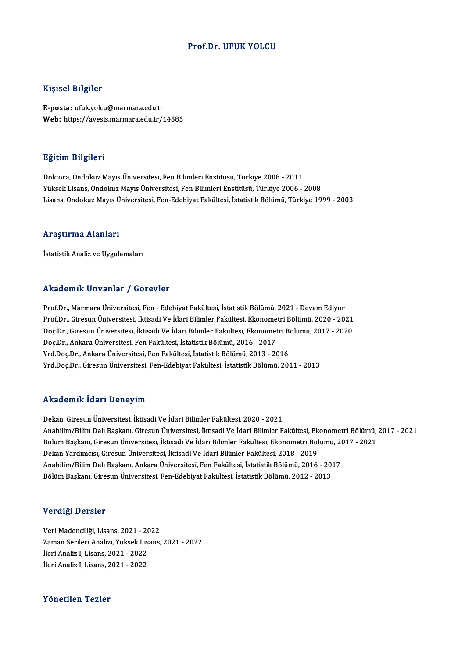#### Prof.Dr. UFUK YOLCU

#### Kişisel Bilgiler

E-posta: ufuk.yolcu@marmara.edu.tr Web: https://avesis.marmara.edu.tr/14585

#### Eğitim Bilgileri

Doktora, Ondokuz Mayıs Üniversitesi, Fen Bilimleri Enstitüsü, Türkiye 2008 - 2011 Yüksek Lisans, Ondokuz Mayıs Üniversitesi, Fen Bilimleri Enstitüsü, Türkiye 2006 - 2008 Lisans, Ondokuz Mayıs Üniversitesi, Fen-Edebiyat Fakültesi, İstatistik Bölümü, Türkiye 1999 - 2003

#### Araştırma Alanları

İstatistik Analiz ve Uygulamaları

#### Akademik Unvanlar / Görevler

Akademik Unvanlar / Görevler<br>Prof.Dr., Marmara Üniversitesi, Fen - Edebiyat Fakültesi, İstatistik Bölümü, 2021 - Devam Ediyor<br>Prof.Dr., Girosun Üniversitesi, İltisadi Ve İdari Bilimler Fakültesi, Ekonometri Bölümü, 2020, 2 rındu olirin "olir uliridi" yı ubi ovror<br>Prof.Dr., Marmara Üniversitesi, Fen - Edebiyat Fakültesi, İstatistik Bölümü, 2021 - Devam Ediyor<br>Pos.Dr., Giresun Üniversitesi, İktisadi Ve İdari Bilimler Fakültesi, Ekonometri Bölü Prof.Dr., Marmara Üniversitesi, Fen - Edebiyat Fakültesi, İstatistik Bölümü, 2021 - Devam Ediyor<br>Prof.Dr., Giresun Üniversitesi, İktisadi Ve İdari Bilimler Fakültesi, Ekonometri Bölümü, 2020 - 2021<br>Doç.Dr., Giresun Ünivers Prof.Dr., Giresun Üniversitesi, İktisadi Ve İdari Bilimler Fakültesi, Ekonometri Bölümü, 2020 - 2021<br>Doç.Dr., Giresun Üniversitesi, İktisadi Ve İdari Bilimler Fakültesi, Ekonometri Bölümü, 2017 - 2020<br>Doç.Dr., Ankara Ünive Yrd.Doç.Dr., Ankara Üniversitesi, Fen Fakültesi, İstatistik Bölümü, 2013 - 2016 Yrd.Doç.Dr.,GiresunÜniversitesi,Fen-EdebiyatFakültesi, İstatistikBölümü,2011 -2013

#### Akademik İdari Deneyim

Dekan,GiresunÜniversitesi, İktisadiVe İdariBilimler Fakültesi,2020 -2021 Anad Sinin Ydun Posnoy'ını<br>Dekan, Giresun Üniversitesi, İktisadi Ve İdari Bilimler Fakültesi, 2020 - 2021<br>Anabilim Peeltanı, Giresun Üniversitesi, İktisadi Ve İdari Bilimler Fakültesi, Ekonometri Bölümü, 2017 - 2021<br>Bölüm Dekan, Giresun Üniversitesi, İktisadi Ve İdari Bilimler Fakültesi, 2020 - 2021<br>Anabilim/Bilim Dalı Başkanı, Giresun Üniversitesi, İktisadi Ve İdari Bilimler Fakültesi, Ekonometri Bölümü,<br>Bölüm Başkanı, Giresun Üniversitesi Anabilim/Bilim Dalı Başkanı, Giresun Üniversitesi, İktisadi Ve İdari Bilimler Fakültesi, Ek<br>Bölüm Başkanı, Giresun Üniversitesi, İktisadi Ve İdari Bilimler Fakültesi, Ekonometri Böl<br>Dekan Yardımcısı, Giresun Üniversitesi, Bölüm Başkanı, Giresun Üniversitesi, İktisadi Ve İdari Bilimler Fakültesi, Ekonometri Bölümü, 2017 - 2021<br>Dekan Yardımcısı, Giresun Üniversitesi, İktisadi Ve İdari Bilimler Fakültesi, 2018 - 2019<br>Anabilim/Bilim Dalı Başkan Anabilim/Bilim Dalı Başkanı, Ankara Üniversitesi, Fen Fakültesi, İstatistik Bölümü, 2016 - 2017

#### Verdiği Dersler

Veri Madenciliği, Lisans, 2021 - 2022 Vor digi Borbion<br>Veri Madenciliği, Lisans, 2021 - 2022<br>Zaman Serileri Analizi, Yüksek Lisans, 2021 - 2022<br>İleri Analiz I. Lisans, 2021 - 2022 Veri Madenciliği, Lisans, 2021 - 20<br>Zaman Serileri Analizi, Yüksek Lis<br>İleri Analiz I, Lisans, 2021 - 2022<br>İleri Analiz I, Lisans, 2021 - 2022 Zaman Serileri Analizi, Yüksek Lis<br>İleri Analiz I, Lisans, 2021 - 2022<br>İleri Analiz I, Lisans, 2021 - 2022 İleri Analiz I, Lisans, 2021 - 2022<br>Yönetilen Tezler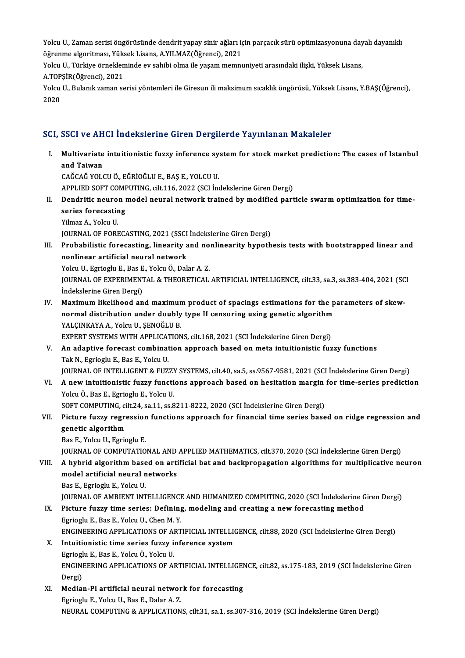Yolcu U., Zaman serisi öngörüsünde dendrit yapay sinir ağları için parçacık sürü optimizasyonuna dayalı dayanıklı<br>Öğrenme algeritması, Yülcek Lisans, A YU MAZ(Öğrensi), 2021 Yolcu U., Zaman serisi öngörüsünde dendrit yapay sinir ağları iç<br>öğrenme algoritması, Yüksek Lisans, A.YILMAZ(Öğrenci), 2021<br>Yelsu U. Türkiye örnekleminde ev sehibi elme ile yasam memnu Yolcu U., Zaman serisi öngörüsünde dendrit yapay sinir ağları için parçacık sürü optimizasyonuna day<br>öğrenme algoritması, Yüksek Lisans, A.YILMAZ(Öğrenci), 2021<br>Yolcu U., Türkiye örnekleminde ev sahibi olma ile yaşam memnu

öğrenme algoritması, Yüksek Lisans, A.YILMAZ(Öğrenci), 2021<br>Yolcu U., Türkiye örnekleminde ev sahibi olma ile yasam memnuniyeti arasındaki iliski, Yüksek Lisans, A TOPŞİR(Öğrenci), 2021

Yolcu U., Bulanık zaman serisi yöntemleri ile Giresun ili maksimum sıcaklık öngörüsü, Yüksek Lisans, Y.BAŞ(Öğrenci),<br>2020

## SCI, SSCI ve AHCI İndekslerine Giren Dergilerde Yayınlanan Makaleler

I. SSCI ve AHCI İndekslerine Giren Dergilerde Yayınlanan Makaleler<br>I. Multivariate intuitionistic fuzzy inference system for stock market prediction: The cases of Istanbul<br>2nd Tajwan **BBBI VBIII<br>Multivariate<br>and Taiwan<br>GAČGAČ VOLC** Multivariate intuitionistic fuzzy inference sy<br>and Taiwan<br>CAĞCAĞ YOLCU Ö., EĞRİOĞLU E., BAŞ E., YOLCU U.<br>APPLIED SOET COMPUTING sik 116, 2022 (SCL İn and Taiwan<br>CAĞCAĞ YOLCU Ö., EĞRİOĞLU E., BAŞ E., YOLCU U.<br>APPLIED SOFT COMPUTING, cilt.116, 2022 (SCI İndekslerine Giren Dergi)<br>Dendritis neuven medel neuvel netwerk trained bu medified nevt CAĞCAĞ YOLCU Ö., EĞRİOĞLU E., BAŞ E., YOLCU U.<br>APPLIED SOFT COMPUTING, cilt.116, 2022 (SCI İndekslerine Giren Dergi)<br>II. Dendritic neuron model neural network trained by modified particle swarm optimization for time-<br>s APPLIED SOFT COME<br>Dendritic neuron<br>series forecasting<br><sup>Vilmoz</sup> A. Yoku H **Dendritic neuro<br>series forecastir<br>Yilmaz A., Yolcu U.<br>JOUPMAL OE EOPI** series forecasting<br>Yilmaz A., Yolcu U.<br>JOURNAL OF FORECASTING, 2021 (SSCI İndekslerine Giren Dergi)<br>Probabilistis foresesting, linearity and noplinearity bynath Yilmaz A., Yolcu U.<br>JOURNAL OF FORECASTING, 2021 (SSCI Indekslerine Giren Dergi)<br>III. Probabilistic forecasting, linearity and nonlinearity hypothesis tests with bootstrapped linear and<br>nonlinear artificial noural naturals JOURNAL OF FORECASTING, 2021 (SSCI<br>Probabilistic forecasting, linearity a<br>nonlinear artificial neural network<br>Yoku II, Egricslu E, Pac E, Yoku Ö, Dok Probabilistic forecasting, linearity and no<br>nonlinear artificial neural network<br>Yolcu U., Egrioglu E., Bas E., Yolcu Ö., Dalar A. Z.<br>JOUPNAL OF EYPERIMENTAL & THEOPETICAL nonlinear artificial neural network<br>Yolcu U., Egrioglu E., Bas E., Yolcu Ö., Dalar A. Z.<br>JOURNAL OF EXPERIMENTAL & THEORETICAL ARTIFICIAL INTELLIGENCE, cilt.33, sa.3, ss.383-404, 2021 (SCI<br>İndekslerine Ciren Dergi) Yolcu U., Egrioglu E., Bas E<br>JOURNAL OF EXPERIMENT<br>İndekslerine Giren Dergi)<br>Maximum likalihaad an JOURNAL OF EXPERIMENTAL & THEORETICAL ARTIFICIAL INTELLIGENCE, cilt.33, sa.3, ss.383-404, 2021 (SC<br>Indekslerine Giren Dergi)<br>IV. Maximum likelihood and maximum product of spacings estimations for the parameters of skew-<br>no indekslerine Giren Dergi)<br>Maximum likelihood and maximum product of spacings estimations for the p<br>normal distribution under doubly type II censoring using genetic algorithm<br>YALCINKAXA A. Xolgy II, SENOČLILP Maximum likelihood and maximun<br>normal distribution under doubly<br>YALÇINKAYA A., Yolcu U., ŞENOĞLU B.<br>EYBERT SYSTEMS WITH APPLICATION normal distribution under doubly type II censoring using genetic algorithm<br>YALÇINKAYA A., Yolcu U., ŞENOĞLU B.<br>EXPERT SYSTEMS WITH APPLICATIONS, cilt.168, 2021 (SCI İndekslerine Giren Dergi)<br>An adantive foreeast combinatio YALÇINKAYA A., Yolcu U., ŞENOĞLU B.<br>EXPERT SYSTEMS WITH APPLICATIONS, cilt.168, 2021 (SCI İndekslerine Giren Dergi)<br>V. An adaptive forecast combination approach based on meta intuitionistic fuzzy functions<br>Tak N., Egri EXPERT SYSTEMS WITH APPLICAT<br>**An adaptive forecast combinat**<br>Tak N., Egrioglu E., Bas E., Yolcu U.<br>JOUPNAL OF INTELLICENT & EUZ An adaptive forecast combination approach based on meta intuitionistic fuzzy functions<br>Tak N., Egrioglu E., Bas E., Yolcu U.<br>JOURNAL OF INTELLIGENT & FUZZY SYSTEMS, cilt.40, sa.5, ss.9567-9581, 2021 (SCI İndekslerine Giren Tak N., Egrioglu E., Bas E., Yolcu U.<br>JOURNAL OF INTELLIGENT & FUZZY SYSTEMS, cilt.40, sa.5, ss.9567-9581, 2021 (SCI İndekslerine Giren Dergi)<br>VI. – A new intuitionistic fuzzy functions approach based on hesitation margin JOURNAL OF INTELLIGENT & FUZZY<br>**A new intuitionistic fuzzy functi**<br>Yolcu Ö., Bas E., Egrioglu E., Yolcu U.<br>SOET COMBUTINC sil: 24, sa 11, sa 8 VI. A new intuitionistic fuzzy functions approach based on hesitation margin for time-series prediction<br>Yolcu Ö., Bas E., Egrioglu E., Yolcu U. VII. Picture fuzzy regression functions approach for financial time series based on ridge regression and genetic algorithm SOFT COMPUTING, cilt.24, sa.11, ss.8211-8222, 2020 (SCI Indekslerine Giren Dergi) Bas E., Yolcu U., Egrioglu E. genetic algorithm<br>Bas E., Yolcu U., Egrioglu E.<br>JOURNAL OF COMPUTATIONAL AND APPLIED MATHEMATICS, cilt.370, 2020 (SCI İndekslerine Giren Dergi)<br>A hybrid algorithm based en ertificial bat and baskpropasation algorithms for VIII. A hybrid algorithm based on artificial bat and backpropagation algorithms for multiplicative neuron model artificial neural networks JOURNAL OF COMPUTATIONAL AND<br>A hybrid algorithm based on arti<br>model artificial neural networks<br>Pas E. Egriegly E. Yolgy II Bas E., Egrioglu E., Yolcu U. JOURNAL OF AMBIENT INTELLIGENCE AND HUMANIZED COMPUTING, 2020 (SCI İndekslerine Giren Dergi) Bas E., Egrioglu E., Yolcu U.<br>JOURNAL OF AMBIENT INTELLIGENCE AND HUMANIZED COMPUTING, 2020 (SCI İndekslerine G<br>IX. Picture fuzzy time series: Defining, modeling and creating a new forecasting method **JOURNAL OF AMBIENT INTELLIGENCE<br>Picture fuzzy time series: Defining<br>Egrioglu E., Bas E., Yolcu U., Chen M. Y.**<br>ENCINEEPINC APPLICATIONS OF APT Egrioglu E., Bas E., Yolcu U., Chen M. Y.<br>ENGINEERING APPLICATIONS OF ARTIFICIAL INTELLIGENCE, cilt.88, 2020 (SCI İndekslerine Giren Dergi) Egrioglu E., Bas E., Yolcu U., Chen M. Y.<br>ENGINEERING APPLICATIONS OF ARTIFICIAL INTELLIC<br>X. Intuitionistic time series fuzzy inference system<br>Egriogly E. Bas E. Yolgy Ö. Yolgy U. ENGINEERING APPLICATIONS OF AL<br>Intuitionistic time series fuzzy i:<br>Egrioglu E., Bas E., Yolcu Ö., Yolcu U.<br>ENGINEERING APPLICATIONS OF AL ENGINEERING APPLICATIONS OF ARTIFICIAL INTELLIGENCE, cilt.82, ss.175-183, 2019 (SCI İndekslerine Giren<br>Dergi) Egrioglu E., Bas E., Yolcu Ö., Yolcu U. ENGINEERING APPLICATIONS OF ARTIFICIAL INTELLIGEI<br>Dergi)<br>XI. Median-Pi artificial neural network for forecasting<br>Eggiogly E. Volgy II, Pos E. Dolgy A. 7 Dergi)<br>Median-Pi artificial neural networ<br>Egrioglu E., Yolcu U., Bas E., Dalar A. Z.<br>NEURAL COMBUTING & APPLICATION Egrioglu E., Yolcu U., Bas E., Dalar A. Z.<br>NEURAL COMPUTING & APPLICATIONS, cilt.31, sa.1, ss.307-316, 2019 (SCI İndekslerine Giren Dergi)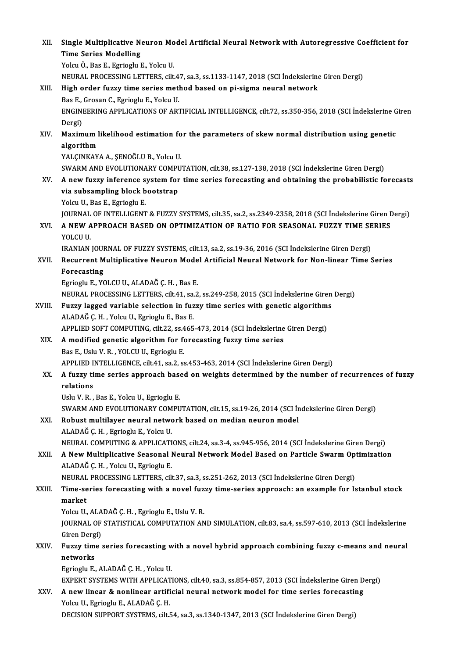| XII.   | Single Multiplicative Neuron Model Artificial Neural Network with Autoregressive Coefficient for<br><b>Time Series Modelling</b>    |
|--------|-------------------------------------------------------------------------------------------------------------------------------------|
|        | Yolcu Ö., Bas E., Egrioglu E., Yolcu U.                                                                                             |
|        | NEURAL PROCESSING LETTERS, cilt.47, sa.3, ss.1133-1147, 2018 (SCI Indekslerine Giren Dergi)                                         |
| XIII.  | High order fuzzy time series method based on pi-sigma neural network                                                                |
|        | Bas E., Grosan C., Egrioglu E., Yolcu U.                                                                                            |
|        | ENGINEERING APPLICATIONS OF ARTIFICIAL INTELLIGENCE, cilt.72, ss.350-356, 2018 (SCI Indekslerine Giren                              |
|        | Dergi)                                                                                                                              |
| XIV.   | Maximum likelihood estimation for the parameters of skew normal distribution using genetic                                          |
|        | algorithm                                                                                                                           |
|        | YALÇINKAYA A., ŞENOĞLU B., Yolcu U.<br>SWARM AND EVOLUTIONARY COMPUTATION, cilt.38, ss.127-138, 2018 (SCI Indekslerine Giren Dergi) |
| XV.    | A new fuzzy inference system for time series forecasting and obtaining the probabilistic forecasts                                  |
|        | via subsampling block bootstrap                                                                                                     |
|        | Yolcu U., Bas E., Egrioglu E.                                                                                                       |
|        | JOURNAL OF INTELLIGENT & FUZZY SYSTEMS, cilt.35, sa.2, ss.2349-2358, 2018 (SCI Indekslerine Giren Dergi)                            |
| XVI.   | A NEW APPROACH BASED ON OPTIMIZATION OF RATIO FOR SEASONAL FUZZY TIME SERIES                                                        |
|        | YOLCU U.                                                                                                                            |
|        | IRANIAN JOURNAL OF FUZZY SYSTEMS, cilt.13, sa.2, ss.19-36, 2016 (SCI Indekslerine Giren Dergi)                                      |
| XVII.  | Recurrent Multiplicative Neuron Model Artificial Neural Network for Non-linear Time Series                                          |
|        | Forecasting                                                                                                                         |
|        | Egrioglu E., YOLCU U., ALADAĞ Ç. H., Bas E.                                                                                         |
|        | NEURAL PROCESSING LETTERS, cilt.41, sa.2, ss.249-258, 2015 (SCI İndekslerine Giren Dergi)                                           |
| XVIII. | Fuzzy lagged variable selection in fuzzy time series with genetic algorithms                                                        |
|        | ALADAĞ Ç.H., Yolcu U., Egrioglu E., Bas E.<br>APPLIED SOFT COMPUTING, cilt.22, ss.465-473, 2014 (SCI İndekslerine Giren Dergi)      |
| XIX.   | A modified genetic algorithm for forecasting fuzzy time series                                                                      |
|        | Bas E., Uslu V. R., YOLCU U., Egrioglu E.                                                                                           |
|        | APPLIED INTELLIGENCE, cilt.41, sa.2, ss.453-463, 2014 (SCI Indekslerine Giren Dergi)                                                |
| XX.    | A fuzzy time series approach based on weights determined by the number of recurrences of fuzzy                                      |
|        | relations                                                                                                                           |
|        | Uslu V. R., Bas E., Yolcu U., Egrioglu E.                                                                                           |
|        | SWARM AND EVOLUTIONARY COMPUTATION, cilt.15, ss.19-26, 2014 (SCI İndekslerine Giren Dergi)                                          |
| XXI.   | Robust multilayer neural network based on median neuron model                                                                       |
|        | ALADAĞ Ç. H., Egrioglu E., Yolcu U.                                                                                                 |
|        | NEURAL COMPUTING & APPLICATIONS, cilt.24, sa.3-4, ss.945-956, 2014 (SCI İndekslerine Giren Dergi)                                   |
| XXII.  | A New Multiplicative Seasonal Neural Network Model Based on Particle Swarm Optimization                                             |
|        | ALADAĞ Ç. H., Yolcu U., Egrioglu E.<br>NEURAL PROCESSING LETTERS, cilt.37, sa.3, ss.251-262, 2013 (SCI İndekslerine Giren Dergi)    |
| XXIII. | Time-series forecasting with a novel fuzzy time-series approach: an example for Istanbul stock                                      |
|        | market                                                                                                                              |
|        | Yolcu U., ALADAĞ Ç. H., Egrioglu E., Uslu V. R.                                                                                     |
|        | JOURNAL OF STATISTICAL COMPUTATION AND SIMULATION, cilt.83, sa.4, ss.597-610, 2013 (SCI İndekslerine                                |
|        | Giren Dergi)                                                                                                                        |
| XXIV.  | Fuzzy time series forecasting with a novel hybrid approach combining fuzzy c-means and neural                                       |
|        | networks                                                                                                                            |
|        | Egrioglu E., ALADAĞ Ç. H., Yolcu U.                                                                                                 |
|        | EXPERT SYSTEMS WITH APPLICATIONS, cilt.40, sa.3, ss.854-857, 2013 (SCI Indekslerine Giren Dergi)                                    |
| XXV.   | A new linear & nonlinear artificial neural network model for time series forecasting                                                |
|        | Yolcu U., Egrioglu E., ALADAĞ Ç. H.                                                                                                 |
|        | DECISION SUPPORT SYSTEMS, cilt.54, sa.3, ss.1340-1347, 2013 (SCI Indekslerine Giren Dergi)                                          |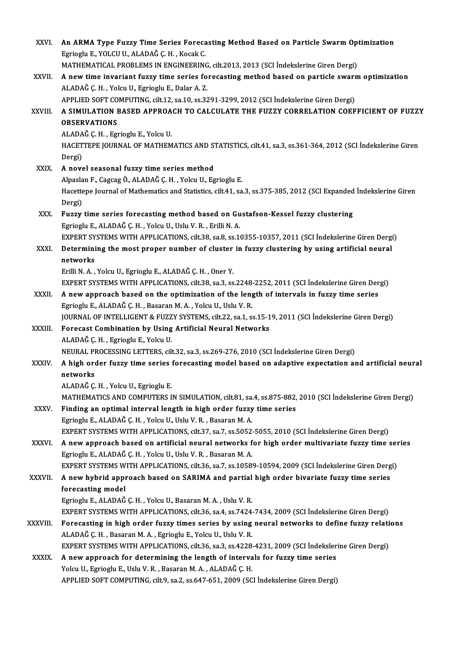| XXVI.        | An ARMA Type Fuzzy Time Series Forecasting Method Based on Particle Swarm Optimization<br>Egrioglu E., YOLCU U., ALADAĞ Ç. H., Kocak C.<br>MATHEMATICAL PROBLEMS IN ENGINEERING, cilt.2013, 2013 (SCI İndekslerine Giren Dergi)                 |
|--------------|-------------------------------------------------------------------------------------------------------------------------------------------------------------------------------------------------------------------------------------------------|
| XXVII.       | A new time invariant fuzzy time series forecasting method based on particle swarm optimization<br>ALADAĞ Ç. H., Yolcu U., Egrioglu E., Dalar A. Z.<br>APPLIED SOFT COMPUTING, cilt.12, sa.10, ss.3291-3299, 2012 (SCI İndekslerine Giren Dergi) |
| XXVIII.      | A SIMULATION BASED APPROACH TO CALCULATE THE FUZZY CORRELATION COEFFICIENT OF FUZZY<br><b>OBSERVATIONS</b><br>ALADAĞ Ç.H., Egrioglu E., Yolcu U.                                                                                                |
|              | HACETTEPE JOURNAL OF MATHEMATICS AND STATISTICS, cilt.41, sa.3, ss.361-364, 2012 (SCI İndekslerine Giren<br>Dergi)                                                                                                                              |
| XXIX.        | A novel seasonal fuzzy time series method                                                                                                                                                                                                       |
|              | Alpaslan F., Cagcag Ö., ALADAĞ Ç. H., Yolcu U., Egrioglu E.                                                                                                                                                                                     |
|              | Hacettepe Journal of Mathematics and Statistics, cilt.41, sa.3, ss.375-385, 2012 (SCI Expanded İndekslerine Giren<br>Dergi)                                                                                                                     |
| XXX.         | Fuzzy time series forecasting method based on Gustafson-Kessel fuzzy clustering<br>Egrioglu E., ALADAĞ Ç. H., Yolcu U., Uslu V. R., Erilli N. A.                                                                                                |
|              | EXPERT SYSTEMS WITH APPLICATIONS, cilt.38, sa.8, ss.10355-10357, 2011 (SCI Indekslerine Giren Dergi)                                                                                                                                            |
| XXXI.        | Determining the most proper number of cluster in fuzzy clustering by using artificial neural                                                                                                                                                    |
|              | networks                                                                                                                                                                                                                                        |
|              | Erilli N. A., Yolcu U., Egrioglu E., ALADAĞ Ç. H., Oner Y.                                                                                                                                                                                      |
|              | EXPERT SYSTEMS WITH APPLICATIONS, cilt.38, sa.3, ss.2248-2252, 2011 (SCI İndekslerine Giren Dergi)                                                                                                                                              |
| XXXII.       | A new approach based on the optimization of the length of intervals in fuzzy time series                                                                                                                                                        |
|              | Egrioglu E., ALADAĞ Ç. H., Basaran M. A., Yolcu U., Uslu V. R.                                                                                                                                                                                  |
|              | JOURNAL OF INTELLIGENT & FUZZY SYSTEMS, cilt.22, sa.1, ss.15-19, 2011 (SCI Indekslerine Giren Dergi)                                                                                                                                            |
| XXXIII.      | Forecast Combination by Using Artificial Neural Networks                                                                                                                                                                                        |
|              | ALADAĞ Ç. H., Egrioglu E., Yolcu U.                                                                                                                                                                                                             |
|              | NEURAL PROCESSING LETTERS, cilt.32, sa.3, ss.269-276, 2010 (SCI İndekslerine Giren Dergi)                                                                                                                                                       |
| <b>XXXIV</b> | A high order fuzzy time series forecasting model based on adaptive expectation and artificial neural                                                                                                                                            |
|              | networks                                                                                                                                                                                                                                        |
|              | ALADAĞ Ç.H., Yolcu U., Egrioglu E.                                                                                                                                                                                                              |
|              | MATHEMATICS AND COMPUTERS IN SIMULATION, cilt.81, sa.4, ss.875-882, 2010 (SCI İndekslerine Giren Dergi)<br>Finding an optimal interval length in high order fuzzy time series                                                                   |
| <b>XXXV</b>  | Egrioglu E., ALADAĞ Ç. H., Yolcu U., Uslu V. R., Basaran M. A.                                                                                                                                                                                  |
|              | EXPERT SYSTEMS WITH APPLICATIONS, cilt.37, sa.7, ss.5052-5055, 2010 (SCI Indekslerine Giren Dergi)                                                                                                                                              |
| <b>XXXVI</b> | A new approach based on artificial neural networks for high order multivariate fuzzy time series                                                                                                                                                |
|              | Egrioglu E., ALADAĞ Ç. H., Yolcu U., Uslu V. R., Basaran M. A.                                                                                                                                                                                  |
|              | EXPERT SYSTEMS WITH APPLICATIONS, cilt.36, sa.7, ss.10589-10594, 2009 (SCI İndekslerine Giren Dergi)                                                                                                                                            |
| XXXVII.      | A new hybrid approach based on SARIMA and partial high order bivariate fuzzy time series                                                                                                                                                        |
|              | forecasting model                                                                                                                                                                                                                               |
|              | Egrioglu E., ALADAĞ Ç. H., Yolcu U., Basaran M. A., Uslu V. R.                                                                                                                                                                                  |
|              | EXPERT SYSTEMS WITH APPLICATIONS, cilt.36, sa.4, ss.7424-7434, 2009 (SCI İndekslerine Giren Dergi)                                                                                                                                              |
| XXXVIII.     | Forecasting in high order fuzzy times series by using neural networks to define fuzzy relations                                                                                                                                                 |
|              | ALADAĞ Ç. H., Basaran M. A., Egrioglu E., Yolcu U., Uslu V. R.                                                                                                                                                                                  |
|              | EXPERT SYSTEMS WITH APPLICATIONS, cilt.36, sa.3, ss.4228-4231, 2009 (SCI Indekslerine Giren Dergi)                                                                                                                                              |
| <b>XXXIX</b> | A new approach for determining the length of intervals for fuzzy time series                                                                                                                                                                    |
|              | Yolcu U., Egrioglu E., Uslu V. R., Basaran M. A., ALADAĞ Ç. H.                                                                                                                                                                                  |
|              | APPLIED SOFT COMPUTING, cilt.9, sa.2, ss.647-651, 2009 (SCI Indekslerine Giren Dergi)                                                                                                                                                           |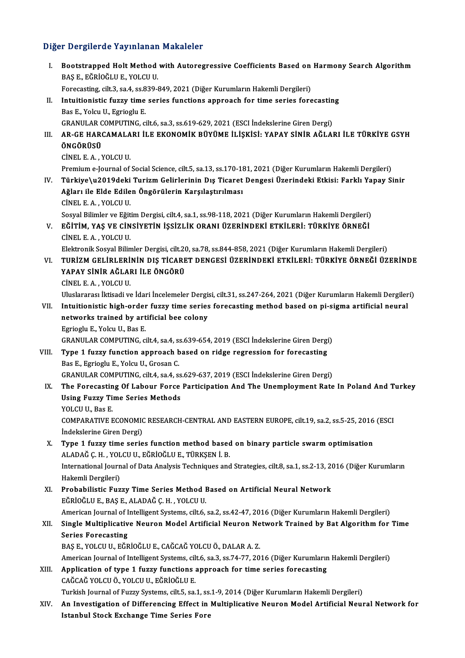# Diğer Dergilerde Yayınlanan Makaleler<br>Diğer Dergilerde Yayınlanan Makaleler

| Diğer Dergilerde Yayınlanan Makaleler |                                                                                                                                                                                       |  |
|---------------------------------------|---------------------------------------------------------------------------------------------------------------------------------------------------------------------------------------|--|
| Ι.                                    | Bootstrapped Holt Method with Autoregressive Coefficients Based on Harmony Search Algorithm<br>BAŞ E, EĞRİOĞLU E, YOLCU U.                                                            |  |
|                                       | Forecasting, cilt.3, sa.4, ss.839-849, 2021 (Diğer Kurumların Hakemli Dergileri)                                                                                                      |  |
| П.                                    | Intuitionistic fuzzy time series functions approach for time series forecasting                                                                                                       |  |
|                                       | Bas E., Yolcu U., Egrioglu E.                                                                                                                                                         |  |
|                                       | GRANULAR COMPUTING, cilt.6, sa.3, ss.619-629, 2021 (ESCI İndekslerine Giren Dergi)                                                                                                    |  |
| III.                                  | AR-GE HARCAMALARI İLE EKONOMİK BÜYÜME İLİŞKİSI: YAPAY SİNİR AĞLARI İLE TÜRKİYE GSYH                                                                                                   |  |
|                                       | ÖNGÖRÜSÜ                                                                                                                                                                              |  |
|                                       | CINEL E A , YOLCU U                                                                                                                                                                   |  |
|                                       | Premium e-Journal of Social Science, cilt.5, sa.13, ss.170-181, 2021 (Diğer Kurumların Hakemli Dergileri)                                                                             |  |
| IV.                                   | Türkiye\u2019deki Turizm Gelirlerinin Dış Ticaret Dengesi Üzerindeki Etkisi: Farklı Yapay Sinir                                                                                       |  |
|                                       | Ağları ile Elde Edilen Öngörülerin Karşılaştırılması                                                                                                                                  |  |
|                                       | CINEL E.A., YOLCU U.                                                                                                                                                                  |  |
| V.                                    | Sosyal Bilimler ve Eğitim Dergisi, cilt.4, sa.1, ss.98-118, 2021 (Diğer Kurumların Hakemli Dergileri)<br>EĞİTİM, YAŞ VE CİNSİYETİN İŞSİZLİK ORANI ÜZERİNDEKİ ETKİLERİ: TÜRKİYE ÖRNEĞİ |  |
|                                       | CİNEL E.A., YOLCU U.<br>Elektronik Sosyal Bilimler Dergisi, cilt.20, sa.78, ss.844-858, 2021 (Diğer Kurumların Hakemli Dergileri)                                                     |  |
| VI.                                   | TURİZM GELİRLERİNİN DIŞ TİCARET DENGESI ÜZERİNDEKİ ETKİLERİ: TÜRKİYE ÖRNEĞİ ÜZERİNDE                                                                                                  |  |
|                                       | YAPAY SİNİR AĞLARI İLE ÖNGÖRÜ                                                                                                                                                         |  |
|                                       | CINEL E.A., YOLCU U.                                                                                                                                                                  |  |
|                                       | Uluslararası İktisadi ve İdari İncelemeler Dergisi, cilt.31, ss.247-264, 2021 (Diğer Kurumların Hakemli Dergileri)                                                                    |  |
| VII.                                  | Intuitionistic high-order fuzzy time series forecasting method based on pi-sigma artificial neural                                                                                    |  |
|                                       | networks trained by artificial bee colony                                                                                                                                             |  |
|                                       | Egrioglu E., Yolcu U., Bas E.                                                                                                                                                         |  |
|                                       | GRANULAR COMPUTING, cilt.4, sa.4, ss.639-654, 2019 (ESCI Indekslerine Giren Dergi)                                                                                                    |  |
| VIII.                                 | Type 1 fuzzy function approach based on ridge regression for forecasting                                                                                                              |  |
|                                       | Bas E., Egrioglu E., Yolcu U., Grosan C.                                                                                                                                              |  |
|                                       | GRANULAR COMPUTING, cilt.4, sa.4, ss.629-637, 2019 (ESCI İndekslerine Giren Dergi)                                                                                                    |  |
| IX.                                   | The Forecasting Of Labour Force Participation And The Unemployment Rate In Poland And Turkey<br><b>Using Fuzzy Time Series Methods</b>                                                |  |
|                                       | YOLCU U., Bas E.                                                                                                                                                                      |  |
|                                       | COMPARATIVE ECONOMIC RESEARCH-CENTRAL AND EASTERN EUROPE, cilt.19, sa.2, ss.5-25, 2016 (ESCI                                                                                          |  |
|                                       | İndekslerine Giren Dergi)                                                                                                                                                             |  |
| Х.                                    | Type 1 fuzzy time series function method based on binary particle swarm optimisation                                                                                                  |  |
|                                       | ALADAĞ Ç.H., YOLCU U., EĞRİOĞLU E., TÜRKŞEN İ. B.                                                                                                                                     |  |
|                                       | International Journal of Data Analysis Techniques and Strategies, cilt.8, sa.1, ss.2-13, 2016 (Diğer Kurumların                                                                       |  |
|                                       | Hakemli Dergileri)                                                                                                                                                                    |  |
| XI.                                   | Probabilistic Fuzzy Time Series Method Based on Artificial Neural Network                                                                                                             |  |
|                                       | EĞRİOĞLU E., BAŞ E., ALADAĞ Ç. H., YOLCU U.                                                                                                                                           |  |
|                                       | American Journal of Intelligent Systems, cilt.6, sa.2, ss.42-47, 2016 (Diğer Kurumların Hakemli Dergileri)                                                                            |  |
| XII.                                  | Single Multiplicative Neuron Model Artificial Neuron Network Trained by Bat Algorithm for Time                                                                                        |  |
|                                       | <b>Series Forecasting</b>                                                                                                                                                             |  |
|                                       | BAŞ E., YOLCU U., EĞRİOĞLU E., CAĞCAĞ YOLCU Ö., DALAR A.Z.                                                                                                                            |  |
|                                       | American Journal of Intelligent Systems, cilt.6, sa.3, ss.74-77, 2016 (Diğer Kurumların Hakemli Dergileri)                                                                            |  |
| XIII.                                 | Application of type 1 fuzzy functions approach for time series forecasting                                                                                                            |  |
|                                       | CAĞCAĞ YOLCU Ö., YOLCU U., EĞRİOĞLU E.                                                                                                                                                |  |
|                                       | Turkish Journal of Fuzzy Systems, cilt.5, sa.1, ss.1-9, 2014 (Diğer Kurumların Hakemli Dergileri)                                                                                     |  |
| XIV.                                  | An Investigation of Differencing Effect in Multiplicative Neuron Model Artificial Neural Network for                                                                                  |  |
|                                       | <b>Istanbul Stock Exchange Time Series Fore</b>                                                                                                                                       |  |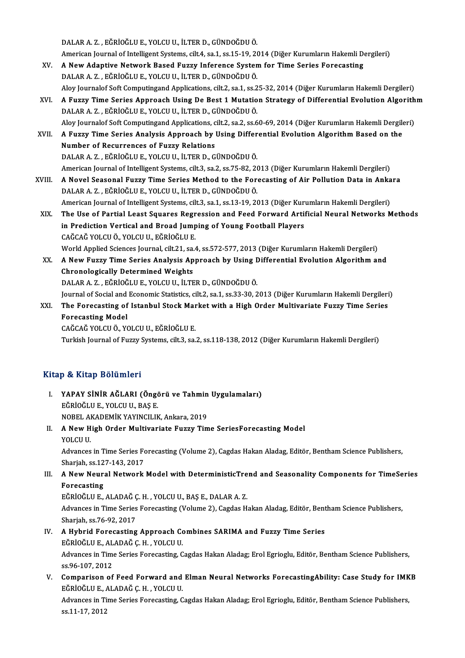DALARA.Z. ,EĞRİOĞLUE.,YOLCUU., İLTERD.,GÜNDOĞDUÖ.

American Journal of Intelligent Systems, cilt.4, sa.1, ss.15-19, 2014 (Diğer Kurumların Hakemli Dergileri)

- DALAR A. Z., EĞRİOĞLU E., YOLCU U., İLTER D., GÜNDOĞDU Ö.<br>American Journal of Intelligent Systems, cilt.4, sa.1, ss.15-19, 2014 (Diğer Kurumların Hakemli D.<br>XV. A New Adaptive Network Based Fuzzy Inference System for Time American Journal of Intelligent Systems, cilt.4, sa.1, ss.15-19, 20<br>A New Adaptive Network Based Fuzzy Inference System<br>DALAR A. Z. , EĞRİOĞLU E., YOLCU U., İLTER D., GÜNDOĞDU Ö.<br>Alev Journalef Seft Computingend Applicatio DALAR A. Z. , EĞRİOĞLU E., YOLCU U., İLTER D., GÜNDOĞDU Ö.<br>Aloy Journalof Soft Computingand Applications, cilt.2, sa.1, ss.25-32, 2014 (Diğer Kurumların Hakemli Dergileri)
- DALAR A. Z. , EĞRİOĞLU E., YOLCU U., İLTER D., GÜNDOĞDU Ö.<br>Aloy Journalof Soft Computingand Applications, cilt.2, sa.1, ss.25-32, 2014 (Diğer Kurumların Hakemli Dergileri)<br>XVI. A Fuzzy Time Series Approach Using De Bes Aloy Journalof Soft Computingand Applications, cilt.2, sa.1, ss.2<br>A Fuzzy Time Series Approach Using De Best 1 Mutatio<br>DALAR A. Z. , EĞRİOĞLU E., YOLCU U., İLTER D., GÜNDOĞDU Ö.<br>Aloy Journalof Soft Computingand Application A Fuzzy Time Series Approach Using De Best 1 Mutation Strategy of Differential Evolution Algorith<br>DALAR A. Z. , EĞRİOĞLU E., YOLCU U., İLTER D., GÜNDOĞDU Ö.<br>Aloy Journalof Soft Computingand Applications, cilt.2, sa.2, ss.6 DALAR A. Z. , EĞRİOĞLU E., YOLCU U., İLTER D., GÜNDOĞDU Ö.<br>Aloy Journalof Soft Computingand Applications, cilt.2, sa.2, ss.60-69, 2014 (Diğer Kurumların Hakemli Dergile<br>XVII. A Fuzzy Time Series Analysis Approach by Us
- Aloy Journalof Soft Computingand Applications, c<br>A Fuzzy Time Series Analysis Approach by **Number of Recurrences of Fuzzy Relations**<br>DALARA Z. F<sup>ORIQUUE</sub> VOLCUUL UTERD O</sup> A Fuzzy Time Series Analysis Approach by Using Differ<br>Number of Recurrences of Fuzzy Relations<br>DALAR A. Z. , EĞRİOĞLU E., YOLCU U., İLTER D., GÜNDOĞDU Ö.<br>American Journal of Intelligent Systems, silt 3, sa 3, ss 75, 82, 20 Number of Recurrences of Fuzzy Relations<br>DALAR A. Z. , EĞRİOĞLU E., YOLCU U., İLTER D., GÜNDOĞDU Ö.<br>American Journal of Intelligent Systems, cilt.3, sa.2, ss.75-82, 2013 (Diğer Kurumların Hakemli Dergileri) DALAR A. Z. , EĞRİOĞLU E., YOLCU U., İLTER D., GÜNDOĞDU Ö.<br>American Journal of Intelligent Systems, cilt.3, sa.2, ss.75-82, 2013 (Diğer Kurumların Hakemli Dergileri)<br>XVIII. A Novel Seasonal Fuzzy Time Series Method to
- DALAR A. Z. , EĞRİOĞLU E., YOLCU U., İLTER D., GÜNDOĞDU Ö.<br>American Journal of Intelligent Systems, cilt.3, sa.1, ss.13-19, 2013 (Diğer Kurumların Hakemli Dergileri) A Novel Seasonal Fuzzy Time Series Method to the Forecasting of Air Pollution Data in Anka<br>DALAR A. Z. , EĞRİOĞLU E., YOLCU U., İLTER D., GÜNDOĞDU Ö.<br>American Journal of Intelligent Systems, cilt.3, sa.1, ss.13-19, 2013 (D
- XIX. The Use of Partial Least Squares Regression and Feed Forward Artificial Neural Networks Methods American Journal of Intelligent Systems, cilt.3, sa.1, ss.13-19, 2013 (Diğer Kurn)<br>The Use of Partial Least Squares Regression and Feed Forward Arti<br>in Prediction Vertical and Broad Jumping of Young Football Players<br>SAČCAČ The Use of Partial Least Squares Regr<br>in Prediction Vertical and Broad Jump<br>CAĞCAĞ YOLCU Ö., YOLCU U., EĞRİOĞLU E.<br>Werld Annlied Ssienses Jeurnal, silt 21, se A CAĞCAĞ YOLCU Ö., YOLCU U., EĞRİOĞLU E.<br>World Applied Sciences Journal, cilt.21, sa.4, ss.572-577, 2013 (Diğer Kurumların Hakemli Dergileri) CAĞCAĞ YOLCU Ö., YOLCU U., EĞRİOĞLU E.<br>World Applied Sciences Journal, cilt.21, sa.4, ss.572-577, 2013 (Diğer Kurumların Hakemli Dergileri)<br>XX. A New Fuzzy Time Series Analysis Approach by Using Differential Evolution
- World Applied Sciences Journal, cilt.21, sa.<br>A New Fuzzy Time Series Analysis Ap<br>Chronologically Determined Weights<br>DALARA 7 FÖRIQÕLUE VOLCUU JUTE A New Fuzzy Time Series Analysis Approach by Using I<br>Chronologically Determined Weights<br>DALAR A. Z. , EĞRİOĞLU E., YOLCU U., İLTER D., GÜNDOĞDU Ö.<br>Journal of Sosial and Feonomis Statistics, silt 2, sa 1, ss 33, 30, 3 Chronologically Determined Weights<br>DALAR A. Z. , EĞRİOĞLU E., YOLCU U., İLTER D., GÜNDOĞDU Ö.<br>Journal of Social and Economic Statistics, cilt.2, sa.1, ss.33-30, 2013 (Diğer Kurumların Hakemli Dergileri)<br>The Feresesting of

DALAR A. Z. , EĞRİOĞLU E., YOLCU U., İLTER D., GÜNDOĞDU Ö.<br>Journal of Social and Economic Statistics, cilt.2, sa.1, ss.33-30, 2013 (Diğer Kurumların Hakemli Dergileri<br>XXI. The Forecasting of Istanbul Stock Market with Journal of Social and<br>The Forecasting of<br>Forecasting Model<br>CAČCAČ VOLCU Ö, VO The Forecasting of Istanbul Stock Mar<br>Forecasting Model<br>CAĞCAĞ YOLCU Ö., YOLCU U., EĞRİOĞLU E.<br>Turkich Journal of Euggy Systems, silt 3, sa.

Forecasting Model<br>CAĞCAĞ YOLCU Ö., YOLCU U., EĞRİOĞLU E.<br>Turkish Journal of Fuzzy Systems, cilt.3, sa.2, ss.118-138, 2012 (Diğer Kurumların Hakemli Dergileri)

## Kitap & Kitap Bölümleri

- İtap & Kitap Bölümleri<br>I. YAPAY SİNİR AĞLARI (Öngörü ve Tahmin Uygulamaları)<br>RÖPİQĞLUE VOLGUU BASE EĞRİOĞLUE.,YOLCUU.,BAŞE. YAPAY SİNİR AĞLARI (Öngörü ve Tahmin<br>EĞRİOĞLU E., YOLCU U., BAŞ E.<br>NOBEL AKADEMİK YAYINCILIK, Ankara, 2019<br>A Nov Hirb Order Multiveriate Eurey Tim NOBEL AKADEMİK YAYINCILIK, Ankara, 2019
- II. A New High Order Multivariate Fuzzy Time SeriesForecasting Model YOLCU U. A New High Order Multivariate Fuzzy Time SeriesForecasting Model<br>YOLCU U.<br>Advances in Time Series Forecasting (Volume 2), Cagdas Hakan Aladag, Editör, Bentham Science Publishers,<br>Shariah sc 127 142 2017 YOLCU U.<br>Advances in Time Series Fo<br>Sharjah, ss.127-143, 2017<br>A Now Noural Network

Advances in Time Series Forecasting (Volume 2), Cagdas Hakan Aladag, Editör, Bentham Science Publishers,<br>Sharjah, ss.127-143, 2017<br>III. A New Neural Network Model with DeterministicTrend and Seasonality Components for Time

Sharjah, ss.12<br><mark>A New Neur</mark>:<br>Forecasting A New Neural Network Model with DeterministicTre<br>Forecasting<br>EĞRİOĞLU E., ALADAĞ Ç. H. , YOLCU U., BAŞ E., DALAR A. Z.<br>Advances in Time Series Forecasting (Volume 2), Cagdas H

Forecasting<br>EĞRİOĞLU E., ALADAĞ Ç. H. , YOLCU U., BAŞ E., DALAR A. Z.<br>Advances in Time Series Forecasting (Volume 2), Cagdas Hakan Aladag, Editör, Bentham Science Publishers,<br>Sharjah, ss.76-92, 2017 EĞRİOĞLU E., ALADAĞ Ç. H., YOLCU U., BAŞ E., DALAR A. Z. Advances in Time Series Forecasting (Volume 2), Cagdas Hakan Aladag, Editör, Bent<br>Sharjah, ss.76-92, 2017<br>IV. A Hybrid Forecasting Approach Combines SARIMA and Fuzzy Time Series<br>FORIOCLUE ALADAČ C H - VOLCUU

## Sharjah, ss.76-92, 2017<br>A Hybrid Forecasting Approach Control<br>EĞRİOĞLUE., ALADAĞ Ç.H. , YOLCU U.<br>Advances in Time Series Forecasting C EĞRİOĞLU E., ALADAĞ Ç.H., YOLCU U.

Advances in Time Series Forecasting, Cagdas Hakan Aladag; Erol Egrioglu, Editör, Bentham Science Publishers, ss.96-107, 2012 Advances in Time Series Forecasting, Cagdas Hakan Aladag; Erol Egrioglu, Editör, Bentham Science Publishers,<br>ss.96-107, 2012<br>V. Comparison of Feed Forward and Elman Neural Networks ForecastingAbility: Case Study for IMKB<br>F

ss.96-107, 2012<br>Comparison of Feed Forward and<br>EĞRİOĞLU E., ALADAĞ Ç. H. , YOLCU U.<br>Advances in Time Series Forecesting C Comparison of Feed Forward and Elman Neural Networks ForecastingAbility: Case Study for IMK<br>EĞRİOĞLU E., ALADAĞ Ç. H. , YOLCU U.<br>Advances in Time Series Forecasting, Cagdas Hakan Aladag; Erol Egrioglu, Editör, Bentham Scie

EĞRİOĞLU E., ALADAĞ Ç. H. , YOLCU U.<br>Advances in Time Series Forecasting, Cagdas Hakan Aladag; Erol Egrioglu, Editör, Bentham Science Publishers,<br>ss.11-17, 2012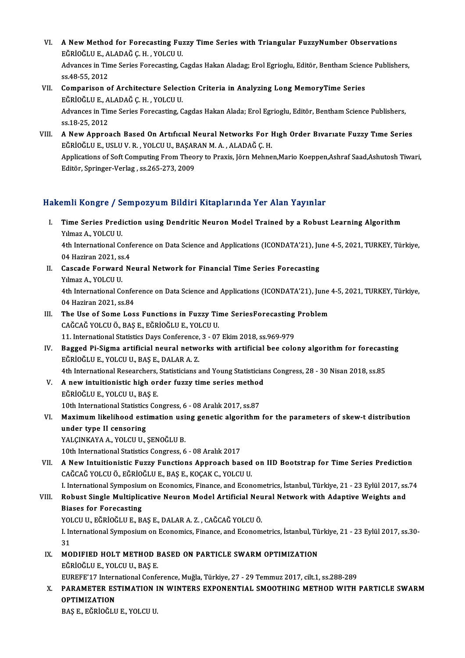- VI. A New Method for Forecasting Fuzzy Time Series with Triangular FuzzyNumber Observations<br>FÉPIQÉLUE ALADAČ C H, VOLCUU **A New Method for Forecasting Fu:**<br>EĞRİOĞLU E., ALADAĞ Ç. H. , YOLCU U.<br>Advanass in Time Series Foresasting *C* A New Method for Forecasting Fuzzy Time Series with Triangular FuzzyNumber Observations<br>EĞRİOĞLU E., ALADAĞ Ç. H. , YOLCU U.<br>Advances in Time Series Forecasting, Cagdas Hakan Aladag; Erol Egrioglu, Editör, Bentham Science EĞRİOĞLU E., ALADAĞ Ç. H. , YOLCU U.<br>Advances in Time Series Forecasting, Cagdas Hakan Aladag; Erol Egrioglu, Editör, Bentham Science Publishers,<br>ss.48-55. 2012 Advances in Time Series Forecasting, Cagdas Hakan Aladag; Erol Egrioglu, Editör, Bentham Scieness.<br>55, 2012<br>VII. Comparison of Architecture Selection Criteria in Analyzing Long MemoryTime Series
- ss.48-55, 2012<br>Comparison of Architecture Select<br>EĞRİOĞLU E., ALADAĞ Ç. H. , YOLCU U.<br>Advances in Time Series Forecesting C Comparison of Architecture Selection Criteria in Analyzing Long MemoryTime Series<br>EĞRİOĞLU E., ALADAĞ Ç. H. , YOLCU U.<br>Advances in Time Series Forecasting, Cagdas Hakan Alada; Erol Egrioglu, Editör, Bentham Science Publish EĞRİOĞLU E., A<br>Advances in Tin<br>ss.18-25, 2012<br>A Now Annro
- VI I. A NewApproach Based On Artıfıcıal Neural Networks For Hıgh Order Bıvarıate Fuzzy Tıme Series ss.18-25, 2012<br>A New Approach Based On Artıfıcıal Neural Networks For I<br>EĞRİOĞLU E., USLU V. R. , YOLCU U., BAŞARAN M. A. , ALADAĞ Ç. H.<br>Applications of Soft Computing From Theory to Pravis Jörn Mohne Applications of Soft Computing From Theory to Praxis, Jörn Mehnen,Mario Koeppen,Ashraf Saad,Ashutosh Tiwari,<br>Editör, Springer-Verlag , ss.265-273, 2009 EĞRİOĞLU E., USLU V. R. , YOLCU U., BAŞAR<br>Applications of Soft Computing From Theo<br>Editör, Springer-Verlag , ss.265-273, 2009

### Hakemli Kongre / Sempozyum Bildiri Kitaplarında Yer Alan Yayınlar

akemli Kongre / Sempozyum Bildiri Kitaplarında Yer Alan Yayınlar<br>I. Time Series Prediction using Dendritic Neuron Model Trained by a Robust Learning Algorithm<br>Xymas A. YOLGU.U Yuma Asiagre 7<br>Time Series Predi<br>Yılmaz A., YOLCU U.<br>Ath International Co Time Series Prediction using Dendritic Neuron Model Trained by a Robust Learning Algorithm<br>Yılmaz A., YOLCU U.<br>4th International Conference on Data Science and Applications (ICONDATA'21), June 4-5, 2021, TURKEY, Türkiye,<br>0

Yılmaz A., YOLCU U.<br>4th International Conference on Data Science and Applications (ICONDATA'21), June 4-5, 2021, TURKEY, Türkiye,<br>04 Haziran 2021. ss.4 4th International Conference on Data Science and Applications (ICONDATA'21), Ju<br>04 Haziran 2021, ss.4<br>II. Cascade Forward Neural Network for Financial Time Series Forecasting<br>Vilmar A, VOLCU U

- 04 Haziran 2021, ss<br>Cascade Forward<br>Yılmaz A., YOLCU U.<br>4th International Co Cascade Forward Neural Network for Financial Time Series Forecasting<br>Yılmaz A., YOLCU U.<br>4th International Conference on Data Science and Applications (ICONDATA'21), June 4-5, 2021, TURKEY, Türkiye,<br>04 Hariron 2021, SS 94. Yılmaz A., YOLCU U.<br>4th International Confer<br>04 Haziran 2021, ss.84<br>The Has of Some Los
- 4th International Conference on Data Science and Applications (ICONDATA'21), June<br>04 Haziran 2021, ss.84<br>III. The Use of Some Loss Functions in Fuzzy Time SeriesForecasting Problem<br> $GA\overset{\sim}{C}A\overset{\sim}{C}A\overset{\sim}{C}$  VOLCU & PAS 04 Haziran 2021, ss.84<br>The Use of Some Loss Functions in Fuzzy Tir<br>CAĞCAĞ YOLCU Ö., BAŞ E., EĞRİOĞLU E., YOLCU U. The Use of Some Loss Functions in Fuzzy Time SeriesForecasting<br>CAĞCAĞ YOLCU Ö., BAŞ E., EĞRİOĞLU E., YOLCU U.<br>11. International Statistics Days Conference, 3 - 07 Ekim 2018, ss.969-979<br>Bagged Bi Sigma artificial nauval nat 11. International Statistics Days Conference, 3 - 07 Ekim 2018, ss.969-979
- IV. Bagged Pi-Sigma artificial neural networks with artificial bee colony algorithm for forecasting EGRIOGLU E, YOLCU U., BAŞ E., DALAR A. Z. Bagged Pi-Sigma artificial neural networks with artificial bee colony algorithm for forecast<br>EĞRİOĞLU E., YOLCU U., BAŞ E., DALAR A. Z.<br>4th International Researchers, Statisticians and Young Statisticians Congress, 28 - 30 EĞRİOĞLU E., YOLCU U., BAŞ E., DALAR A. Z.<br>4th International Researchers, Statisticians and Young Statistician<br>V. A new intuitionistic high order fuzzy time series method<br>FÖRİOĞLU E. VOLCU U. BAS E
- 4th International Researchers,<br>A new intuitionistic high or<br>EĞRİOĞLU E., YOLCU U., BAŞ E.<br>10th International Statistics Co. V. A new intuitionistic high order fuzzy time series method<br>EĞRİOĞLU E., YOLCU U., BAS E. 10th International Statistics Congress, 6 - 08 Aralık 2017, ss.87
- VI. Maximum likelihood estimation using genetic algorithm for the parameters of skew-t distribution under type II censoring YALÇINKAYA A., YOLCU U., ŞENOĞLU B. 10th International Statistics Congress, 6 - 08 Aralık 2017

VII. A New Intuitionistic Fuzzy Functions Approach based on IID Bootstrap for Time Series Prediction CAĞCAĞYOLCUÖ.,EĞRİOĞLUE.,BAŞE.,KOÇAKC.,YOLCUU.

I. International Symposium on Economics, Finance, and Econometrics, İstanbul, Türkiye, 21 - 23 Eylül 2017, ss.74

## CAĞCAĞ YOLCU Ö., EĞRİOĞLU E., BAŞ E., KOÇAK C., YOLCU U.<br>I. International Symposium on Economics, Finance, and Econometrics, İstanbul, Türkiye, 21 - 23 Eylül 2017, ss.<br>VIII. Robust Single Multiplicative Neuron Model Ar **I. International Symposium<br>Robust Single Multiplic<br>Biases for Forecasting<br>YOLCU U. FČPIOČU U.F. P** Robust Single Multiplicative Neuron Model Artificial Neu<br>Biases for Forecasting<br>YOLCU U., EĞRİOĞLU E., BAŞ E., DALAR A. Z. , CAĞCAĞ YOLCU Ö.<br>Linternational Sumnesium en Feanamise Finance and Feanam

Biases for Forecasting<br>YOLCU U., EĞRİOĞLU E., BAŞ E., DALAR A. Z. , CAĞCAĞ YOLCU Ö.<br>I. International Symposium on Economics, Finance, and Econometrics, İstanbul, Türkiye, 21 - 23 Eylül 2017, ss.30-<br>21 YOLCU U., EĞRİOĞLU E., BAŞ E., DALAR A. Z. , CAĞCAĞ YOLCU Ö.<br>I. International Symposium on Economics, Finance, and Econom<br>31 I. International Symposium on Economics, Finance, and Econometrics, İstanbul, Tü<br>31<br>IX. MODIFIED HOLT METHOD BASED ON PARTICLE SWARM OPTIMIZATION

IX. MODIFIED HOLT METHOD BASED ON PARTICLE SWARM OPTIMIZATION<br>EĞRİOĞLU E., YOLCU U., BAS E. MODIFIED HOLT METHOD BASED ON PARTICLE SWARM OPTIMIZATION<br>EĞRİOĞLU E., YOLCU U., BAŞ E.<br>EUREFE'17 International Conference, Muğla, Türkiye, 27 - 29 Temmuz 2017, cilt.1, ss.288-289<br>BARAMETER ESTIMATION IN WINTERS EXPONENTIA

## X. PARAMETER ESTIMATION IN WINTERS EXPONENTIAL SMOOTHING METHOD WITH PARTICLE SWARM<br>OPTIMIZATION EUREFE'17 Intern<br>PARAMETER ES<br>OPTIMIZATION<br>PAS E FÉDIOČIJI

BAŞE.,EĞRİOĞLUE.,YOLCUU.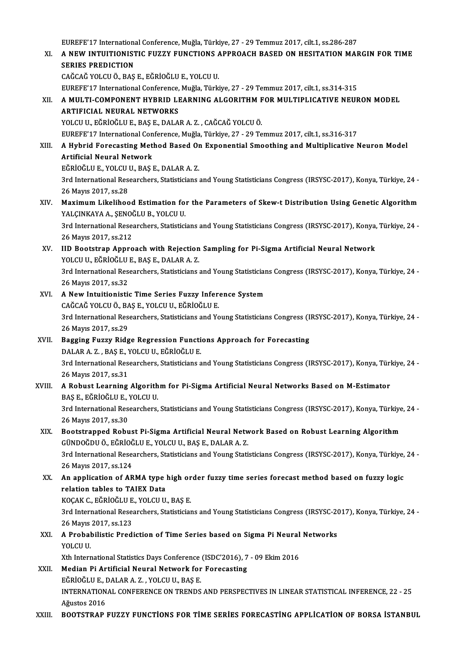EUREFE'17 InternationalConference,Muğla,Türkiye,27 -29Temmuz2017, cilt.1, ss.286-287 EUREFE'17 International Conference, Muğla, Türkiye, 27 - 29 Temmuz 2017, cilt.1, ss.286-287<br>XI. – A NEW INTUITIONISTIC FUZZY FUNCTIONS APPROACH BASED ON HESITATION MARGIN FOR TIME EUREFE'17 Internations<br>A NEW INTUITIONIST<br>SERIES PREDICTION A NEW INTUITIONISTIC FUZZY FUNCTIONS A<br>SERIES PREDICTION<br>CAĞCAĞ YOLCU Ö., BAŞ E., EĞRİOĞLU E., YOLCU U.<br>FUREEE'17 International Conference Muğle. Türki SERIES PREDICTION<br>CAĞCAĞ YOLCU Ö., BAŞ E., EĞRİOĞLU E., YOLCU U.<br>EUREFE'17 International Conference, Muğla, Türkiye, 27 - 29 Temmuz 2017, cilt.1, ss.314-315<br>A. MIII TI, COMBONENT HYPPID I EARNINC, ALCORITHM EOR MIII TIRLIC CAĞCAĞ YOLCU Ö., BAŞ E., EĞRİOĞLU E., YOLCU U.<br>EUREFE'17 International Conference, Muğla, Türkiye, 27 - 29 Temmuz 2017, cilt.1, ss.314-315<br>XII. A MULTI-COMPONENT HYBRID LEARNING ALGORITHM FOR MULTIPLICATIVE NEURON MODE EUREFE'17 International Conference,<br>A MULTI-COMPONENT HYBRID LI<br>ARTIFICIAL NEURAL NETWORKS<br>YOLCU U FČPIOČULE PASE DALA A MULTI-COMPONENT HYBRID LEARNING ALGORITHM F<br>ARTIFICIAL NEURAL NETWORKS<br>YOLCU U., EĞRİOĞLU E., BAŞ E., DALAR A. Z. , CAĞCAĞ YOLCU Ö.<br>FUREEE'17 International Conference Muğla Türkiye 27 - 29 Te ARTIFICIAL NEURAL NETWORKS<br>YOLCU U., EĞRİOĞLU E., BAŞ E., DALAR A. Z. , CAĞCAĞ YOLCU Ö.<br>EUREFE'17 International Conference, Muğla, Türkiye, 27 - 29 Temmuz 2017, cilt.1, ss.316-317 YOLCU U., EĞRİOĞLU E., BAŞ E., DALAR A. Z. , CAĞCAĞ YOLCU Ö.<br>EUREFE'17 International Conference, Muğla, Türkiye, 27 - 29 Temmuz 2017, cilt.1, ss.316-317<br>XIII. A Hybrid Forecasting Method Based On Exponential Smoothing EUREFE'17 International Con<br>A Hybrid Forecasting Met<br>Artificial Neural Network<br>EČPIOČLUE VOLCUU PASI A Hybrid Forecasting Method Based Or<br>Artificial Neural Network<br>EĞRİOĞLU E., YOLCU U., BAŞ E., DALAR A. Z.<br><sup>2nd Intornational Bassarshars, Statisticions</sup> Artificial Neural Network<br>EĞRİOĞLU E., YOLCU U., BAŞ E., DALAR A. Z.<br>3rd International Researchers, Statisticians and Young Statisticians Congress (IRSYSC-2017), Konya, Türkiye, 24 -<br>26 Mayıs 2017, ss.28 EĞRİOĞLU E., YOLCU<br>3rd International Res<br>26 Mayıs 2017, ss.28<br>Mayimum Likalibas 3rd International Researchers, Statisticians and Young Statisticians Congress (IRSYSC-2017), Konya, Türkiye, 24 -<br>26 Mayıs 2017, ss.28<br>XIV. Maximum Likelihood Estimation for the Parameters of Skew-t Distribution Using Gene 26 Mayıs 2017, ss.28<br>Maximum Likelihood Estimation fo:<br>YALÇINKAYA A., ŞENOĞLU B., YOLCU U.<br><sup>2nd Intornational Pessenshore, Statistici</sup> Maximum Likelihood Estimation for the Parameters of Skew-t Distribution Using Genetic Algorithm<br>YALÇINKAYA A., ŞENOĞLU B., YOLCU U.<br>3rd International Researchers, Statisticians and Young Statisticians Congress (IRSYSC-2017 YALÇINKAYA A., ŞENOĞLU B., YOLCU U.<br>3rd International Researchers, Statisticians and Young Statisticians Congress (IRSYSC-2017), Konya, Türkiye, 24<br>26 Mayıs 2017, ss.212 3rd International Researchers, Statisticians and Young Statisticians Congress (IRSYSC-2017), Konya,<br>26 Mayıs 2017, ss.212<br>XV. IID Bootstrap Approach with Rejection Sampling for Pi-Sigma Artificial Neural Network<br>YOLCU U. F 26 Mayıs 2017, ss.212<br>IID Bootstrap Approach with Rejection<br>YOLCU U., EĞRİOĞLU E., BAŞ E., DALAR A. Z.<br><sup>2nd Intornational Bossarshars, Statisticions</sup> 3rd International Researchers, Statisticians and Young Statisticians Congress (IRSYSC-2017), Konya, Türkiye, 24 - 26 Mayıs 2017, ss.32 YOLCU U., EĞRİOĞLU E., BAŞ E., DALAR A.Z. 3rd International Researchers, Statisticians and Young Statistician<br>26 Mayıs 2017, ss.32<br>XVI. A New Intuitionistic Time Series Fuzzy Inference System 26 Mayıs 2017, ss.32<br>**A New Intuitionistic Time Series Fuzzy Infer**<br>CAĞCAĞ YOLCU Ö., BAŞ E., YOLCU U., EĞRİOĞLU E.<br><sup>2rd International Besearsbers, Statisticians and Yo</sup> 3rd International Researchers, Statisticians and Young Statisticians Congress (IRSYSC-2017), Konya, Türkiye, 24 -<br>26 Mayıs 2017, ss.29 CAĞCAĞ YOLCU Ö., BAŞ E., YOLCU U., EĞRİOĞLU E. 3rd International Researchers, Statisticians and Young Statisticians Congress (I<br>26 Mayıs 2017, ss.29<br>XVII. Bagging Fuzzy Ridge Regression Functions Approach for Forecasting<br>RALARA Z, BASE VOLCUU FÖRİQĞULE 26 Mayıs 2017, ss.29<br><mark>Bagging Fuzzy Ridge Regression Functi</mark><br>DALAR A. Z. , BAŞ E., YOLCU U., EĞRİOĞLU E.<br><sup>2nd Intornational Bessenshers, Statistisians a</sup> Bagging Fuzzy Ridge Regression Functions Approach for Forecasting<br>DALAR A. Z. , BAŞ E., YOLCU U., EĞRİOĞLU E.<br>3rd International Researchers, Statisticians and Young Statisticians Congress (IRSYSC-2017), Konya, Türkiye, 24 DALAR A. Z. , BAŞ E., 1<br>3rd International Res<br>26 Mayıs 2017, ss.31<br>A Robust Learning 3rd International Researchers, Statisticians and Young Statisticians Congress (IRSYSC-2017), Konya, Türl<br>26 Mayıs 2017, ss.31<br>XVIII. A Robust Learning Algorithm for Pi-Sigma Artificial Neural Networks Based on M-Estimator 26 Mayıs 2017, ss.31<br>A Robust Learning Algorith<br>BAŞ E., EĞRİOĞLU E., YOLCU U.<br><sup>2nd Intornational Bossarsbors</sup> 3rd International Researchers, Statisticians and Young Statisticians Congress (IRSYSC-2017), Konya, Türkiye, 24<br>3rd International Researchers, Statisticians and Young Statisticians Congress (IRSYSC-2017), Konya, Türkiye, 2 BAŞ E., EĞRİOĞLU E., '<br>3rd International Res<br>26 Mayıs 2017, ss.30<br>Bostatrannad Bobu 3rd International Researchers, Statisticians and Young Statisticians Congress (IRSYSC-2017), Konya, Türkiye<br>26 Mayıs 2017, ss.30<br>XIX. Bootstrapped Robust Pi-Sigma Artificial Neural Network Based on Robust Learning Algorith 26 Mayıs 2017, ss.30<br>Bootstrapped Robust Pi-Sigma Artificial Neural Netw<br>GÜNDOĞDU Ö., EĞRİOĞLU E., YOLCU U., BAŞ E., DALAR A. Z.<br><sup>2nd Intornational Bossarsbars, Statisticions and Young Stati</sup> Bootstrapped Robust Pi-Sigma Artificial Neural Network Based on Robust Learning Algorithm<br>GÜNDOĞDU Ö., EĞRİOĞLU E., YOLCU U., BAŞ E., DALAR A. Z.<br>3rd International Researchers, Statisticians and Young Statisticians Congres GÜNDOĞDU Ö., EĞRİOĞLU E., YOLCU U., BAŞ E., DALAR A. Z.<br>3rd International Researchers, Statisticians and Young Statisticians Congress (IRSYSC-2017), Konya, Türkiye, 24<br>26 Mayıs 2017, ss.124 3rd International Researchers, Statisticians and Young Statisticians Congress (IRSYSC-2017), Konya, Türkiye,<br>26 Mayıs 2017, ss.124<br>XX. An application of ARMA type high order fuzzy time series forecast method based on fuzzy 26 Mayıs 2017, ss.124<br>An application of ARMA type :<br>relation tables to TAIEX Data<br>KOCAK C. FÖRİQÖLU E. VOLCU U An application of ARMA type high or<br>relation tables to TAIEX Data<br>KOÇAK C., EĞRİOĞLU E., YOLCU U., BAŞ E.<br><sup>2nd International Bossarshars</sup> Statisticies relation tables to TAIEX Data<br>KOÇAK C., EĞRİOĞLU E., YOLCU U., BAŞ E.<br>3rd International Researchers, Statisticians and Young Statisticians Congress (IRSYSC-2017), Konya, Türkiye, 24 -<br>26 Mayıs 2017, 88 122 KOÇAK C., EĞRİOĞLU E<br>3rd International Rese:<br>26 Mayıs 2017, ss.123<br>A Probabilistic Pradi 3rd International Researchers, Statisticians and Young Statisticians Congress (IRSYSC-20<br>26 Mayıs 2017, ss.123<br>XXI. A Probabilistic Prediction of Time Series based on Sigma Pi Neural Networks<br>XOLCU U 26 Mayıs<br>**A Probal**<br>YOLCU U.<br><sup>Yth Intor</sup> A Probabilistic Prediction of Time Series based on Sigma Pi Neural<br>YOLCU U.<br>Xth International Statistics Days Conference (ISDC'2016), 7 - 09 Ekim 2016<br>Median Bi Artificial Neural Network for Forecesting. YOLCU U.<br>Xth International Statistics Days Conference (ISDC'2016), 7<br>XXII. Median Pi Artificial Neural Network for Forecasting Xth International Statistics Days Conference (ISDC'2016), 7 - 09 Ekim 2016 INTERNATIONAL CONFERENCE ON TRENDS AND PERSPECTIVES IN LINEAR STATISTICAL INFERENCE, 22 - 25<br>Ağustos 2016 EĞRİOĞLU E., DALAR A.Z., YOLCU U., BAŞ E. XXIII. BOOTSTRAP FUZZY FUNCTIONS FOR TIME SERIES FORECASTING APPLICATION OF BORSA İSTANBUL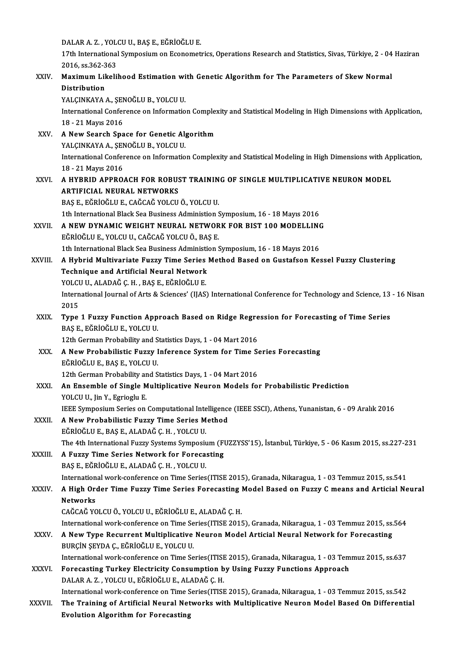DALAR A. Z. , YOLCU U., BAŞ E., EĞRİOĞLU E.<br>17th International Sumnesium en Esenemet

17th International Symposium on Econometrics, Operations Research and Statistics, Sivas, Türkiye, 2 - 04 Haziran<br>2016. ss.362-363 DALAR A. Z. , YOL<br>17th International<br>2016, ss.362-363<br>Maximum Likeli 17th International Symposium on Econometrics, Operations Research and Statistics, Sivas, Türkiye, 2 - 04<br>2016, ss.362-363<br>XXIV. Maximum Likelihood Estimation with Genetic Algorithm for The Parameters of Skew Normal

# 2016, ss.362-3<br>Maximum Lik<br>Distribution<br>VALCINKAVA Maximum Likelihood Estimation wi<br>Distribution<br>YALÇINKAYA A., ŞENOĞLU B., YOLCU U.<br>International Conference on Informatio

Distribution<br>YALÇINKAYA A., ŞENOĞLU B., YOLCU U.<br>International Conference on Information Complexity and Statistical Modeling in High Dimensions with Application, YALÇINKAYA A., ŞEN<br>International Confer<br>18 - 21 Mayıs 2016<br>A Now Soarch Spa 18 - 21 Mayıs 2016<br>XXV. A New Search Space for Genetic Algorithm

18 - 21 Mayıs 2016<br>**A New Search Space for Genetic Al<sub>i</sub><br>YALÇINKAYA A., ŞENOĞLU B., YOLCU U.**<br>International Cenference en Informatio A New Search Space for Genetic Algorithm<br>YALÇINKAYA A., ŞENOĞLU B., YOLCU U.<br>International Conference on Information Complexity and Statistical Modeling in High Dimensions with Application, YALÇINKAYA A., ŞEN<br>International Confer<br>18 - 21 Mayıs 2016<br>A HYBBID ABBBO International Conference on Information Complexity and Statistical Modeling in High Dimensions with Ap<br>18 - 21 Mayıs 2016<br>XXVI. A HYBRID APPROACH FOR ROBUST TRAINING OF SINGLE MULTIPLICATIVE NEURON MODEL

# 18-21 Mayıs 2016<br>A HYBRID APPROACH FOR ROBUST TRAINING OF SINGLE MULTIPLICATIVE NEURON MODEL<br>ARTIFICIAL NEURAL NETWORKS

BAŞE.,EĞRİOĞLUE.,CAĞCAĞYOLCUÖ.,YOLCUU.

1th International Black Sea Business Administion Symposium, 16 - 18 Mayıs 2016

## BAŞ E., EĞRİOĞLU E., CAĞCAĞ YOLCU Ö., YOLCU U.<br>1th International Black Sea Business Administion Symposium, 16 - 18 Mayıs 2016<br>XXVII. A NEW DYNAMIC WEIGHT NEURAL NETWORK FOR BIST 100 MODELLING 1th International Black Sea Business Administion S<br>**A NEW DYNAMIC WEIGHT NEURAL NETWOR**<br>EĞRİOĞLU E., YOLCU U., CAĞCAĞ YOLCU Ö., BAŞ E.<br>1th International Black Sea Business Administion S A NEW DYNAMIC WEIGHT NEURAL NETWORK FOR BIST 100 MODELLING<br>EĞRİOĞLU E., YOLCU U., CAĞCAĞ YOLCU Ö., BAŞ E.<br>1th International Black Sea Business Administion Symposium, 16 - 18 Mayıs 2016<br>A Hybrid Multivariate Eugey Time Seri

- EĞRİOĞLU E., YOLCU U., CAĞCAĞ YOLCU Ö., BAŞ E.<br>1th International Black Sea Business Administion Symposium, 16 18 Mayıs 2016<br>XXVIII. A Hybrid Multivariate Fuzzy Time Series Method Based on Gustafson Kessel Fuzzy Clust 1th International Black Sea Business Administical Neural Network<br>A Hybrid Multivariate Fuzzy Time Series<br>Technique and Artificial Neural Network<br>YOLCU U. ALADAČ C. H. PAS E. FČPIOČULE A Hybrid Multivariate Fuzzy Time Series<br>Technique and Artificial Neural Network<br>YOLCU U., ALADAĞ Ç. H. , BAŞ E., EĞRİOĞLU E.<br>International Journal of Arts & Sciences' (HAS)
	-

Technique and Artificial Neural Network<br>YOLCU U., ALADAĞ Ç. H. , BAŞ E., EĞRİOĞLU E.<br>International Journal of Arts & Sciences' (IJAS) International Conference for Technology and Science, 13 - 16 Nisan YOLCU<br>Intern<br>2015<br>Tune International Journal of Arts & Sciences' (IJAS) International Conference for Technology and Science, 13<br>2015<br>XXIX. Type 1 Fuzzy Function Approach Based on Ridge Regression for Forecasting of Time Series<br>BASE FÖRIOČLUE VOL

## 2015<br>Type 1 Fuzzy Function Approach Based on Ridge Regre<br>BAŞ E., EĞRİOĞLU E., YOLCU U.<br>12th German Probability and Statistics Days, 1 - 04 Mart 2016 Type 1 Fuzzy Function Approach Based on Ridge Regression for Forecasting of Time Series

BAŞ E., EĞRİOĞLU E., YOLCU U.<br>12th German Probability and Statistics Days, 1 - 04 Mart 2016<br>XXX. A New Probabilistic Fuzzy Inference System for Time Series Forecasting<br>FÖRİOĞLU E. BAS E. VOLCU U. EĞRİOĞLUE.,BAŞE.,YOLCUU. 12th New Probabilistic Fuzzy Inference System for Time Statistics<br>Eğrioğlu E., BAŞ E., YOLCU U.<br>12th German Probability and Statistics Days, 1 - 04 Mart 2016 12th German Probability and Statistics Days, 1 - 04 Mart 2016

## XXXI. An Ensemble of Single Multiplicative Neuron Models for Probabilistic Prediction<br>YOLCU U., Jin Y., Egrioglu E.

IEEE Symposium Series on Computational Intelligence (IEEE SSCI), Athens, Yunanistan, 6 - 09 Aralık 2016

## XXXII. A New Probabilistic Fuzzy Time Series Method EĞRİOĞLUE.,BAŞE.,ALADAĞÇ.H. ,YOLCUU.

The 4th InternationalFuzzy Systems Symposium(FUZZYSS'15), İstanbul,Türkiye,5 -06Kasım2015, ss.227-231

## XXXIII. A Fuzzy Time Series Network for Forecasting

BAŞE.,EĞRİOĞLUE.,ALADAĞÇ.H. ,YOLCUU.

A Fuzzy Time Series Network for Forecasting<br>BAŞ E., EĞRİOĞLU E., ALADAĞ Ç. H. , YOLCU U.<br>International work-conference on Time Series(ITISE 2015), Granada, Nikaragua, 1 - 03 Temmuz 2015, ss.541<br>A High Order Time Euggy Time

## BAŞ E., EĞRİOĞLU E., ALADAĞ Ç. H. , YOLCU U.<br>International work-conference on Time Series (ITISE 2015), Granada, Nikaragua, 1 - 03 Temmuz 2015, ss.541<br>XXXIV. A High Order Time Fuzzy Time Series Forecasting Model Based Internation<br>A High Oro<br>Networks<br>CAČCAČ VC A High Order Time Fuzzy Time Series Forecasting |<br>Networks<br>CAĞCAĞ YOLCU Ö., YOLCU U., EĞRİOĞLU E., ALADAĞ Ç. H.<br>International work conference en Time Series (ITISE 2011 Networks<br>CAĞCAĞ YOLCU Ö., YOLCU U., EĞRİOĞLU E., ALADAĞ Ç. H.<br>International work-conference on Time Series(ITISE 2015), Granada, Nikaragua, 1 - 03 Temmuz 2015, ss.564<br>A.Now Tune Begungent Multiplicative Neuren Model Artisi

## CAĞCAĞ YOLCU Ö., YOLCU U., EĞRİOĞLU E., ALADAĞ Ç. H.<br>International work-conference on Time Series(ITISE 2015), Granada, Nikaragua, 1 - 03 Temmuz 2015, ss.<br>XXXV. A New Type Recurrent Multiplicative Neuron Model Articial International work-conference on Time Se<br>A New Type Recurrent Multiplicative<br>BURÇİN ŞEYDA Ç., EĞRİOĞLU E., YOLCU U.<br>International work conference on Time Se

International work-conference on Time Series(ITISE 2015), Granada, Nikaragua, 1 - 03 Temmuz 2015, ss.637

## BURÇİN ŞEYDA Ç., EĞRİOĞLU E., YOLCU U.<br>International work-conference on Time Series(ITISE 2015), Granada, Nikaragua, 1 - 03 Tem<br>XXXVI. Forecasting Turkey Electricity Consumption by Using Fuzzy Functions Approach International work-conference on Time Series(ITISE<br>Forecasting Turkey Electricity Consumption b<br>DALAR A. Z. , YOLCU U., EĞRİOĞLU E., ALADAĞ Ç. H.<br>International work conference on Time Series(ITISE DALAR A. Z. , YOLCU U., EĞRİOĞLU E., ALADAĞ Ç. H.<br>International work-conference on Time Series(ITISE 2015), Granada, Nikaragua, 1 - 03 Temmuz 2015, ss.542

DALAR A. Z. , YOLCU U., EĞRİOĞLU E., ALADAĞ Ç. H.<br>International work-conference on Time Series(ITISE 2015), Granada, Nikaragua, 1 - 03 Temmuz 2015, ss.542<br>XXXVII. The Training of Artificial Neural Networks with Multipl International work-conference on Time S<br>The Training of Artificial Neural Net<br>Evolution Algorithm for Forecasting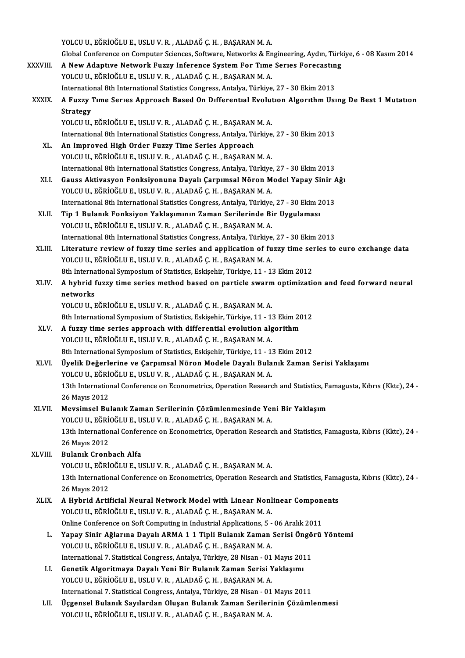|              | YOLCU U., EĞRİOĞLU E., USLU V. R., ALADAĞ Ç. H., BAŞARAN M. A.                                                                              |
|--------------|---------------------------------------------------------------------------------------------------------------------------------------------|
|              | Global Conference on Computer Sciences, Software, Networks & Engineering, Aydın, Türkiye, 6 - 08 Kasım 2014                                 |
| XXXVIII.     | A New Adaptive Network Fuzzy Inference System For Time Series Forecasting                                                                   |
|              | YOLCU U., EĞRİOĞLU E., USLU V. R., ALADAĞ Ç. H., BAŞARAN M. A.                                                                              |
|              | International 8th International Statistics Congress, Antalya, Türkiye, 27 - 30 Ekim 2013                                                    |
| <b>XXXIX</b> | A Fuzzy Time Series Approach Based On Differential Evolution Algorithm Using De Best 1 Mutation                                             |
|              | <b>Strategy</b>                                                                                                                             |
|              | YOLCU U., EĞRİOĞLU E., USLU V. R., ALADAĞ Ç. H., BAŞARAN M. A.                                                                              |
|              | International 8th International Statistics Congress, Antalya, Türkiye, 27 - 30 Ekim 2013                                                    |
| XL.          | An Improved High Order Fuzzy Time Series Approach                                                                                           |
|              | YOLCU U., EĞRİOĞLU E., USLU V. R., ALADAĞ Ç. H., BAŞARAN M. A.                                                                              |
|              | International 8th International Statistics Congress, Antalya, Türkiye, 27 - 30 Ekim 2013                                                    |
| XLI.         | Gauss Aktivasyon Fonksiyonuna Dayalı Çarpımsal Nöron Model Yapay Sinir Ağı                                                                  |
|              | YOLCU U., EĞRİOĞLU E., USLU V. R., ALADAĞ Ç. H., BAŞARAN M. A.                                                                              |
|              | International 8th International Statistics Congress, Antalya, Türkiye, 27 - 30 Ekim 2013                                                    |
| XLII.        | Tip 1 Bulanık Fonksiyon Yaklaşımının Zaman Serilerinde Bir Uygulaması                                                                       |
|              | YOLCU U., EĞRİOĞLU E., USLU V. R., ALADAĞ Ç. H., BAŞARAN M. A.                                                                              |
|              | International 8th International Statistics Congress, Antalya, Türkiye, 27 - 30 Ekim 2013                                                    |
| XLIII.       | Literature review of fuzzy time series and application of fuzzy time series to euro exchange data                                           |
|              | YOLCU U., EĞRİOĞLU E., USLU V. R., ALADAĞ Ç. H., BAŞARAN M. A.                                                                              |
|              | 8th International Symposium of Statistics, Eskişehir, Türkiye, 11 - 13 Ekim 2012                                                            |
| XLIV.        | A hybrid fuzzy time series method based on particle swarm optimization and feed forward neural                                              |
|              | networks                                                                                                                                    |
|              | YOLCU U., EĞRİOĞLU E., USLU V. R., ALADAĞ Ç. H., BAŞARAN M. A.                                                                              |
|              | 8th International Symposium of Statistics, Eskişehir, Türkiye, 11 - 13 Ekim 2012                                                            |
| XLV.         | A fuzzy time series approach with differential evolution algorithm<br>YOLCU U., EĞRİOĞLU E., USLU V. R., ALADAĞ Ç. H., BAŞARAN M. A.        |
|              | 8th International Symposium of Statistics, Eskișehir, Türkiye, 11 - 13 Ekim 2012                                                            |
| XLVI.        | Üyelik Değerlerine ve Çarpımsal Nöron Modele Dayalı Bulanık Zaman Serisi Yaklaşımı                                                          |
|              | YOLCU U., EĞRİOĞLU E., USLU V. R., ALADAĞ Ç. H., BAŞARAN M. A.                                                                              |
|              | 13th International Conference on Econometrics, Operation Research and Statistics, Famagusta, Kıbrıs (Kktc), 24-                             |
|              | 26 Mayıs 2012                                                                                                                               |
| XLVII.       | Mevsimsel Bulanık Zaman Serilerinin Çözümlenmesinde Yeni Bir Yaklaşım                                                                       |
|              | YOLCU U., EĞRİOĞLU E., USLU V. R., ALADAĞ Ç. H., BAŞARAN M. A.                                                                              |
|              | 13th International Conference on Econometrics, Operation Research and Statistics, Famagusta, Kıbrıs (Kktc), 24 -                            |
|              | 26 Mayıs 2012                                                                                                                               |
| XLVIII.      | <b>Bulanik Cronbach Alfa</b>                                                                                                                |
|              | YOLCU U., EĞRİOĞLU E., USLU V. R., ALADAĞ Ç. H., BAŞARAN M. A.                                                                              |
|              | 13th International Conference on Econometrics, Operation Research and Statistics, Famagusta, Kıbrıs (Kktc), 24 -                            |
|              | 26 Mayıs 2012                                                                                                                               |
| XLIX.        | A Hybrid Artificial Neural Network Model with Linear Nonlinear Components                                                                   |
|              | YOLCU U., EĞRİOĞLU E., USLU V. R., ALADAĞ Ç. H., BAŞARAN M. A.                                                                              |
|              | Online Conference on Soft Computing in Industrial Applications, 5 - 06 Aralık 2011                                                          |
| L.           | Yapay Sinir Ağlarına Dayalı ARMA 1 1 Tipli Bulanık Zaman Serisi Öngörü Yöntemi                                                              |
|              | YOLCU U., EĞRİOĞLU E., USLU V. R., ALADAĞ Ç. H., BAŞARAN M. A.                                                                              |
|              | International 7. Statistical Congress, Antalya, Türkiye, 28 Nisan - 01 Mayıs 2011                                                           |
| LI.          | Genetik Algoritmaya Dayalı Yeni Bir Bulanık Zaman Serisi Yaklaşımı                                                                          |
|              | YOLCU U., EĞRİOĞLU E., USLU V. R., ALADAĞ Ç. H., BAŞARAN M. A.                                                                              |
|              | International 7. Statistical Congress, Antalya, Türkiye, 28 Nisan - 01 Mayıs 2011                                                           |
| LII.         | Üçgensel Bulanık Sayılardan Oluşan Bulanık Zaman Serilerinin Çözümlenmesi<br>YOLCU U., EĞRİOĞLU E., USLU V. R., ALADAĞ Ç. H., BAŞARAN M. A. |
|              |                                                                                                                                             |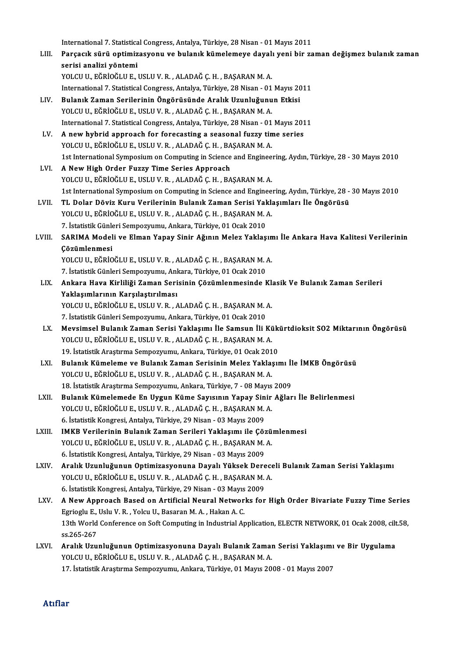International 7. Statistical Congress, Antalya, Türkiye, 28 Nisan - 01 Mayıs 2011<br>Persesuk sürü ontimizesyenu ve bulanık kümelemeye dayelı yeni bir ze

LIII. Parçacık sürü optimizasyonu ve bulanık kümelemeye dayalı yeni bir zaman değişmez bulanık zaman serisi analizi yöntemi International 7. Statistica<br>Parçacık sürü optimiz<br>serisi analizi yöntemi<br>vol CUU Eğrioğuu E YOLCU U., EĞRİOĞLU E., USLU V. R., ALADAĞ Ç. H., BAŞARAN M. A.

International 7. Statistical Congress, Antalya, Türkiye, 28 Nisan - 01 Mayıs 2011

- YOLCU U., EĞRİOĞLU E., USLU V. R. , ALADAĞ Ç. H. , BAŞARAN M. A.<br>International 7. Statistical Congress, Antalya, Türkiye, 28 Nisan 01 Mayıs 20<br>LIV. Bulanık Zaman Serilerinin Öngörüsünde Aralık Uzunluğunun Etkisi<br>VOLCU U. YOLCU U., EĞRİOĞLU E., USLU V. R. , ALADAĞ Ç. H. , BAŞARAN M. A.<br>International 7. Statistical Congress, Antalya, Türkiye, 28 Nisan - 01 Mayıs 2011 Bulanık Zaman Serilerinin Öngörüsünde Aralık Uzunluğunun Etkisi<br>YOLCU U., EĞRİOĞLU E., USLU V. R. , ALADAĞ Ç. H. , BAŞARAN M. A.<br>International 7. Statistical Congress, Antalya, Türkiye, 28 Nisan - 01 Mayıs 2011<br>A new hybri YOLCU U., EĞRİOĞLU E., USLU V. R., ALADAĞ Ç. H., BAŞARAN M. A.<br>International 7. Statistical Congress, Antalya, Türkiye, 28 Nisan - 01 Mayıs 201<br>LV. A new hybrid approach for forecasting a seasonal fuzzy time series<br>VOLCU U
- International 7. Statistical Congress, Antalya, Türkiye, 28 Nisan 01<br>A new hybrid approach for forecasting a seasonal fuzzy tin<br>YOLCU U., EĞRİOĞLU E., USLU V. R. , ALADAĞ Ç. H. , BAŞARAN M. A.<br>1st International Sumnesium 1st International Symposium on Computing in Science and Engineering, Aydın, Türkiye, 28 - 30 Mayıs 2010<br>1st International Symposium on Computing in Science and Engineering, Aydın, Türkiye, 28 - 30 Mayıs 2010
- LVI. A New High Order Fuzzy Time Series Approach YOLCU U., EĞRİOĞLU E., USLU V. R., ALADAĞ Ç. H., BAŞARAN M. A. A New High Order Fuzzy Time Series Approach<br>YOLCU U., EĞRİOĞLU E., USLU V. R. , ALADAĞ Ç. H. , BAŞARAN M. A.<br>1st International Symposium on Computing in Science and Engineering, Aydın, Türkiye, 28 - 30 Mayıs 2010<br>TL Dolar YOLCU U., EĞRİOĞLU E., USLU V. R. , ALADAĞ Ç. H. , BAŞARAN M. A.<br>1st International Symposium on Computing in Science and Engineering, Aydın, Türkiye, 28 -<br>17 LVII. TL Dolar Döviz Kuru Verilerinin Bulanık Zaman Serisi Yakla
- 1st International Symposium on Computing in Science and Enginee<br>TL Dolar Döviz Kuru Verilerinin Bulanık Zaman Serisi Yaklı<br>YOLCU U., EĞRİOĞLU E., USLU V. R. , ALADAĞ Ç. H. , BAŞARAN M. A.<br>7. İstatistik Günlori Sompozuumu, TL Dolar Döviz Kuru Verilerinin Bulanık Zaman Serisi Yaklaşımları İle Öngörüsü<br>YOLCU U., EĞRİOĞLU E., USLU V. R. , ALADAĞ Ç. H. , BAŞARAN M. A.<br>7. İstatistik Günleri Sempozyumu, Ankara, Türkiye, 01 Ocak 2010 YOLCU U., EĞRİOĞLU E., USLU V. R. , ALADAĞ Ç. H. , BAŞARAN M. A.<br>7. İstatistik Günleri Sempozyumu, Ankara, Türkiye, 01 Ocak 2010<br>LVIII. SARIMA Modeli ve Elman Yapay Sinir Ağının Melez Yaklaşımı İle Ankara Hava Kalitesi
- 7. İstatistik Günk<br>SARIMA Model<br>Çözümlenmesi<br>YOLCU U. FĞRİQ SARIMA Modeli ve Elman Yapay Sinir Ağının Melez Yaklaşın<br>Çözümlenmesi<br>YOLCU U., EĞRİOĞLU E., USLU V. R. , ALADAĞ Ç. H. , BAŞARAN M. A.<br>7. İstatistik Günloni Somnowumu, Ankara Türkiye 01 Qark 2010 Çözümlenmesi<br>YOLCU U., EĞRİOĞLU E., USLU V. R. , ALADAĞ Ç. H. , BAŞARAN M. A.

7. İstatistik Günleri Sempozyumu, Ankara, Türkiye, 01 Ocak 2010

LIX. Ankara Hava Kirliliği Zaman Serisinin Çözümlenmesinde Klasik Ve Bulanık Zaman Serileri YOLCU U., EĞRİOĞLU E., USLU V. R., ALADAĞ Ç. H., BAŞARANM.A. Yaklaşımlarının Karşılaştırılması<br>YOLCU U., EĞRİOĞLU E., USLU V. R. , ALADAĞ Ç. H. , BAŞARAN M. .<br>7. İstatistik Günleri Sempozyumu, Ankara, Türkiye, 01 Ocak 2010<br>Maysimsel Bulanık Zaman Serisi Yaklasımı ile Samsun İli I

- YOLCU U., EĞRİOĞLU E., USLU V. R. , ALADAĞ Ç. H. , BAŞARAN M. A.<br>7. İstatistik Günleri Sempozyumu, Ankara, Türkiye, 01 Ocak 2010<br>LX. Mevsimsel Bulanık Zaman Serisi Yaklaşımı İle Samsun İli Kükürtdioksit SO2 Miktarının Öngö 7. İstatistik Günleri Sempozyumu, Ankara, Türkiye, 01 Ocak 2010<br>Mevsimsel Bulanık Zaman Serisi Yaklaşımı İle Samsun İli Kü<br>YOLCU U., EĞRİOĞLU E., USLU V. R. , ALADAĞ Ç. H. , BAŞARAN M. A.<br>19. İstatistik Arastuma Sampozuumu Mevsimsel Bulanık Zaman Serisi Yaklaşımı İle Samsun İli Kük<br>YOLCU U., EĞRİOĞLU E., USLU V. R. , ALADAĞ Ç. H. , BAŞARAN M. A.<br>19. İstatistik Araştırma Sempozyumu, Ankara, Türkiye, 01 Ocak 2010<br>Bulanık Kümolomo ve Bulanık Za YOLCU U., EĞRİOĞLU E., USLU V. R. , ALADAĞ Ç. H. , BAŞARAN M. A.<br>19. İstatistik Araştırma Sempozyumu, Ankara, Türkiye, 01 Ocak 2010<br>LXI. Bulanık Kümeleme ve Bulanık Zaman Serisinin Melez Yaklaşımı İle İMKB Öngörüsü<br>201 CU
- 19. İstatistik Araştırma Sempozyumu, Ankara, Türkiye, 01 Ocak 201<br>Bulanık Kümeleme ve Bulanık Zaman Serisinin Melez Yaklaş<br>YOLCU U., EĞRİOĞLU E., USLU V. R. , ALADAĞ Ç. H. , BAŞARAN M. A.<br>18. İstatistik Arastuma Sampozuumu Bulanık Kümeleme ve Bulanık Zaman Serisinin Melez Yaklaşımı İl<br>YOLCU U., EĞRİOĞLU E., USLU V. R. , ALADAĞ Ç. H. , BAŞARAN M. A.<br>18. İstatistik Araştırma Sempozyumu, Ankara, Türkiye, 7 - 08 Mayıs 2009<br>Bulanık Kümelemede En YOLCU U., EĞRİOĞLU E., USLU V. R. , ALADAĞ Ç. H. , BAŞARAN M. A.<br>18. İstatistik Araştırma Sempozyumu, Ankara, Türkiye, 7 - 08 Mayıs 2009<br>LXII. Bulanık Kümelemede En Uygun Küme Sayısının Yapay Sinir Ağları İle Belirlenmesi<br>
- 18. İstatistik Araştırma Sempozyumu, Ankara, Türkiye, 7 08 Mayıs<br>Bulanık Kümelemede En Uygun Küme Sayısının Yapay Sinir<br>YOLCU U., EĞRİOĞLU E., USLU V. R. , ALADAĞ Ç. H. , BAŞARAN M. A.<br>6. İstatistik Kongresi, Antakıs Tür Bulanık Kümelemede En Uygun Küme Sayısının Yapay Sin<br>YOLCU U., EĞRİOĞLU E., USLU V. R. , ALADAĞ Ç. H. , BAŞARAN M.<br>6. İstatistik Kongresi, Antalya, Türkiye, 29 Nisan - 03 Mayıs 2009<br>IMKB Verilerinin Bulanık Zaman Sarileri YOLCU U., EĞRİOĞLU E., USLU V. R. , ALADAĞ Ç. H. , BAŞARAN M. A.<br>6. İstatistik Kongresi, Antalya, Türkiye, 29 Nisan - 03 Mayıs 2009<br>LXIII. IMKB Verilerinin Bulanık Zaman Serileri Yaklaşımı ile Çözümlenmesi<br>VOLCU U. EĞRİOĞL
- 6. İstatistik Kongresi, Antalya, Türkiye, 29 Nisan 03 Mayıs 2009<br>IMKB Verilerinin Bulanık Zaman Serileri Yaklaşımı ile Çözü<br>YOLCU U., EĞRİOĞLU E., USLU V. R. , ALADAĞ Ç. H. , BAŞARAN M. A.<br>6. İstatistik Kongresi, Antalya IMKB Verilerinin Bulanık Zaman Serileri Yaklaşımı ile Çöz<br>YOLCU U., EĞRİOĞLU E., USLU V. R. , ALADAĞ Ç. H. , BAŞARAN M.<br>6. İstatistik Kongresi, Antalya, Türkiye, 29 Nisan - 03 Mayıs 2009<br>Aralık Haunluğunun Ontimizasyonuna
- YOLCU U., EĞRİOĞLU E., USLU V. R. , ALADAĞ Ç. H. , BAŞARAN M. A.<br>6. İstatistik Kongresi, Antalya, Türkiye, 29 Nisan 03 Mayıs 2009<br>2001 LXIV. Aralık Uzunluğunun Optimizasyonuna Dayalı Yüksek Dereceli Bulanık Zaman Seris 6. İstatistik Kongresi, Antalya, Türkiye, 29 Nisan - 03 Mayıs 2009<br>Aralık Uzunluğunun Optimizasyonuna Dayalı Yüksek Derece<br>YOLCU U., EĞRİOĞLU E., USLU V. R. , ALADAĞ Ç. H. , BAŞARAN M. A.<br>6. İstatistik Kongresi, Antalya Tü Aralık Uzunluğunun Optimizasyonuna Dayalı Yüksek Dere<br>YOLCU U., EĞRİOĞLU E., USLU V. R. , ALADAĞ Ç. H. , BAŞARAN M.<br>6. İstatistik Kongresi, Antalya, Türkiye, 29 Nisan - 03 Mayıs 2009<br>A Navı Annraach Based an Artificial Nau YOLCU U., EĞRİOĞLU E., USLU V. R. , ALADAĞ Ç. H. , BAŞARAN M. A.<br>6. İstatistik Kongresi, Antalya, Türkiye, 29 Nisan - 03 Mayıs 2009<br>LXV. A New Approach Based on Artificial Neural Networks for High Order Bivariate Fuzzy Tim
- 6. İstatistik Kongresi, Antalya, Türkiye, 29 Nisan 03 Mayıs<br>A New Approach Based on Artificial Neural Networ<br>Egrioglu E., Uslu V. R. , Yolcu U., Basaran M. A. , Hakan A. C.<br>12th World Conference on Soft Computing in Indu A New Approach Based on Artificial Neural Networks for High Order Bivariate Fuzzy Time Series<br>Egrioglu E., Uslu V. R. , Yolcu U., Basaran M. A. , Hakan A. C.<br>13th World Conference on Soft Computing in Industrial Applicatio Egrioglu E., Uslu V. R. , Yolcu U., Basaran M. A. , Hakan A. C.<br>13th World Conference on Soft Computing in Industrial Ap<br>ss.265-267 13th World Conference on Soft Computing in Industrial Application, ELECTR NETWORK, 01 Ocak 2008, cilt.58,<br>ss.265-267<br>LXVI. Aralık Uzunluğunun Optimizasyonuna Dayalı Bulanık Zaman Serisi Yaklaşımı ve Bir Uygulama<br>YOLCU
- Aralık Uzunluğunun Optimizasyonuna Dayalı Bulanık Zaman Serisi Yaklaşımı ve Bir Uygulama 17. İstatistik Araştırma Sempozyumu, Ankara, Türkiye, 01 Mayıs 2008 - 01 Mayıs 2007

#### Atıflar